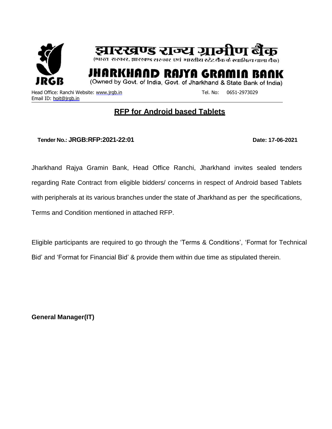

रिखण्ड राज्य ग्र

(भारत-सरकार, झारखण्ड सरकार-एवं-भारतीय स्टेट बैंक के स्वामित्व वाला बैंक)

YA GI

(Owned by Govt. of India, Govt. of Jharkhand & State Bank of India)

Head Office: Ranchi Website: [www.jrgb.in](http://www.jrgb.in/) Tel. No: 0651-2973029 Email ID: [hoit@jrgb.in](mailto:hoit@jrgb.in)

## **RFP for Android based Tablets**

**Tender No.: JRGB:RFP:2021-22:01 Date: 17-06-2021**

Jharkhand Rajya Gramin Bank, Head Office Ranchi, Jharkhand invites sealed tenders regarding Rate Contract from eligible bidders/ concerns in respect of Android based Tablets with peripherals at its various branches under the state of Jharkhand as per the specifications, Terms and Condition mentioned in attached RFP.

Eligible participants are required to go through the 'Terms & Conditions', 'Format for Technical Bid' and 'Format for Financial Bid' & provide them within due time as stipulated therein.

**General Manager(IT)**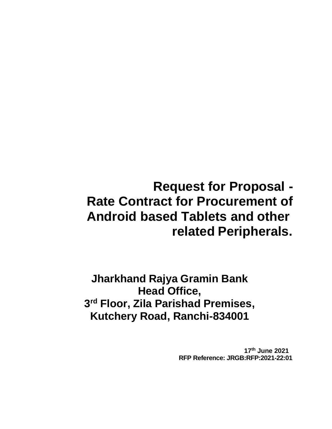# **Request for Proposal - Rate Contract for Procurement of Android based Tablets and other related Peripherals.**

**Jharkhand Rajya Gramin Bank Head Office, 3 rd Floor, Zila Parishad Premises, Kutchery Road, Ranchi-834001**

> **17th June 2021 RFP Reference: JRGB:RFP:2021-22:01**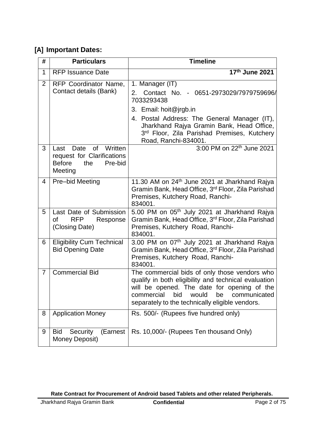### **[A] Important Dates:**

| #              | <b>Particulars</b>                                                                                  | <b>Timeline</b>                                                                                                                                                                                                                                             |
|----------------|-----------------------------------------------------------------------------------------------------|-------------------------------------------------------------------------------------------------------------------------------------------------------------------------------------------------------------------------------------------------------------|
| 1              | <b>RFP Issuance Date</b>                                                                            | 17th June 2021                                                                                                                                                                                                                                              |
| $\overline{2}$ | RFP Coordinator Name,<br>Contact details (Bank)                                                     | 1. Manager (IT)<br>Contact No. - 0651-2973029/7979759696/<br>2.<br>7033293438<br>3. Email: hoit@jrgb.in                                                                                                                                                     |
|                |                                                                                                     | 4. Postal Address: The General Manager (IT),<br>Jharkhand Rajya Gramin Bank, Head Office,<br>3rd Floor, Zila Parishad Premises, Kutchery<br>Road, Ranchi-834001.                                                                                            |
| 3              | of Written<br>Last Date<br>request for Clarifications<br><b>Before</b><br>the<br>Pre-bid<br>Meeting | 3:00 PM on 22 <sup>th</sup> June 2021                                                                                                                                                                                                                       |
| $\overline{4}$ | Pre-bid Meeting                                                                                     | 11.30 AM on 24 <sup>th</sup> June 2021 at Jharkhand Rajya<br>Gramin Bank, Head Office, 3rd Floor, Zila Parishad<br>Premises, Kutchery Road, Ranchi-<br>834001.                                                                                              |
| 5              | Last Date of Submission<br><b>of</b><br><b>RFP</b><br>Response<br>(Closing Date)                    | 5.00 PM on 05 <sup>th</sup> July 2021 at Jharkhand Rajya<br>Gramin Bank, Head Office, 3rd Floor, Zila Parishad<br>Premises, Kutchery Road, Ranchi-<br>834001.                                                                                               |
| 6              | <b>Eligibility Cum Technical</b><br><b>Bid Opening Date</b>                                         | 3.00 PM on 07th July 2021 at Jharkhand Rajya<br>Gramin Bank, Head Office, 3rd Floor, Zila Parishad<br>Premises, Kutchery Road, Ranchi-<br>834001.                                                                                                           |
| $\overline{7}$ | <b>Commercial Bid</b>                                                                               | The commercial bids of only those vendors who<br>qualify in both eligibility and technical evaluation<br>will be opened. The date for opening of the<br>commercial<br>bid<br>would<br>be<br>communicated<br>separately to the technically eligible vendors. |
| 8              | <b>Application Money</b>                                                                            | Rs. 500/- (Rupees five hundred only)                                                                                                                                                                                                                        |
| 9              | <b>Bid</b><br>Security<br>(Earnest<br>Money Deposit)                                                | Rs. 10,000/- (Rupees Ten thousand Only)                                                                                                                                                                                                                     |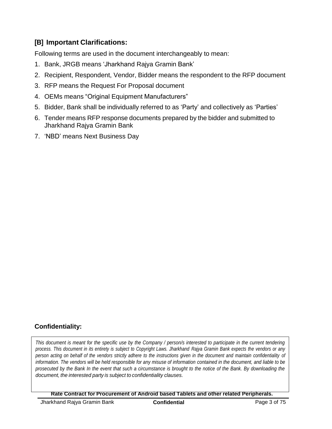### **[B] Important Clarifications:**

Following terms are used in the document interchangeably to mean:

- 1. Bank, JRGB means 'Jharkhand Rajya Gramin Bank'
- 2. Recipient, Respondent, Vendor, Bidder means the respondent to the RFP document
- 3. RFP means the Request For Proposal document
- 4. OEMs means "Original Equipment Manufacturers"
- 5. Bidder, Bank shall be individually referred to as 'Party' and collectively as 'Parties'
- 6. Tender means RFP response documents prepared by the bidder and submitted to Jharkhand Rajya Gramin Bank
- 7. 'NBD' means Next Business Day

### **Confidentiality:**

*This document is meant for the specific use by the Company / person/s interested to participate in the current tendering process. This document in its entirety is subject to Copyright Laws. Jharkhand Rajya Gramin Bank expects the vendors or any person acting on behalf of the vendors strictly adhere to the instructions given in the document and maintain confidentiality of information. The vendors will be held responsible for any misuse of information contained in the document, and liable to be prosecuted by the Bank In the event that such a circumstance is brought to the notice of the Bank. By downloading the document, the interested party is subject to confidentiality clauses.*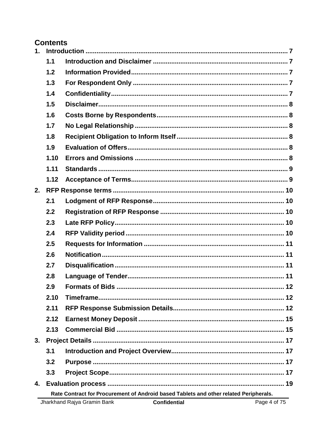### **Contents**

| $\mathbf{1}$ . |                                                                                       |    |  |  |  |  |
|----------------|---------------------------------------------------------------------------------------|----|--|--|--|--|
|                | 1.1                                                                                   |    |  |  |  |  |
|                | 1.2                                                                                   |    |  |  |  |  |
|                | 1.3                                                                                   |    |  |  |  |  |
|                | 1.4                                                                                   |    |  |  |  |  |
|                | 1.5                                                                                   |    |  |  |  |  |
|                | 1.6                                                                                   |    |  |  |  |  |
|                | 1.7                                                                                   |    |  |  |  |  |
|                | 1.8                                                                                   |    |  |  |  |  |
|                | 1.9                                                                                   |    |  |  |  |  |
|                | 1.10                                                                                  |    |  |  |  |  |
|                | 1.11                                                                                  |    |  |  |  |  |
|                | 1.12                                                                                  |    |  |  |  |  |
| 2.             |                                                                                       |    |  |  |  |  |
|                | 2.1                                                                                   |    |  |  |  |  |
|                | 2.2                                                                                   |    |  |  |  |  |
|                | 2.3                                                                                   |    |  |  |  |  |
|                | 2.4                                                                                   |    |  |  |  |  |
|                | 2.5                                                                                   |    |  |  |  |  |
|                | 2.6                                                                                   |    |  |  |  |  |
|                | 2.7                                                                                   |    |  |  |  |  |
|                | 2.8                                                                                   |    |  |  |  |  |
|                | 2.9                                                                                   |    |  |  |  |  |
|                | 2.10                                                                                  |    |  |  |  |  |
|                | 2.11                                                                                  |    |  |  |  |  |
|                | 2.12                                                                                  |    |  |  |  |  |
|                | 2.13                                                                                  |    |  |  |  |  |
| 3.             |                                                                                       |    |  |  |  |  |
|                | 3.1                                                                                   |    |  |  |  |  |
|                | 3.2                                                                                   |    |  |  |  |  |
|                | 3.3                                                                                   |    |  |  |  |  |
| 4.             |                                                                                       | 19 |  |  |  |  |
|                | Rate Contract for Procurement of Android based Tablets and other related Peripherals. |    |  |  |  |  |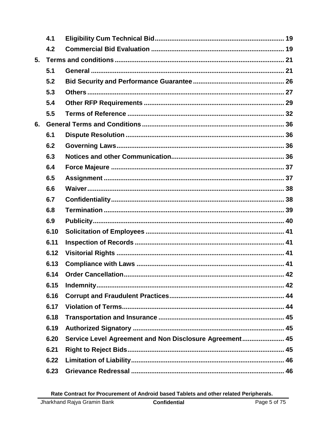|    | 4.1  |                                                         |  |
|----|------|---------------------------------------------------------|--|
|    | 4.2  |                                                         |  |
| 5. |      |                                                         |  |
|    | 5.1  |                                                         |  |
|    | 5.2  |                                                         |  |
|    | 5.3  |                                                         |  |
|    | 5.4  |                                                         |  |
|    | 5.5  |                                                         |  |
| 6. |      |                                                         |  |
|    | 6.1  |                                                         |  |
|    | 6.2  |                                                         |  |
|    | 6.3  |                                                         |  |
|    | 6.4  |                                                         |  |
|    | 6.5  |                                                         |  |
|    | 6.6  |                                                         |  |
|    | 6.7  |                                                         |  |
|    | 6.8  |                                                         |  |
|    | 6.9  |                                                         |  |
|    | 6.10 |                                                         |  |
|    | 6.11 |                                                         |  |
|    | 6.12 |                                                         |  |
|    | 6.13 |                                                         |  |
|    | 6.14 |                                                         |  |
|    | 6.15 |                                                         |  |
|    | 6.16 |                                                         |  |
|    | 6.17 |                                                         |  |
|    | 6.18 |                                                         |  |
|    | 6.19 |                                                         |  |
|    | 6.20 | Service Level Agreement and Non Disclosure Agreement 45 |  |
|    | 6.21 |                                                         |  |
|    | 6.22 |                                                         |  |
|    | 6.23 |                                                         |  |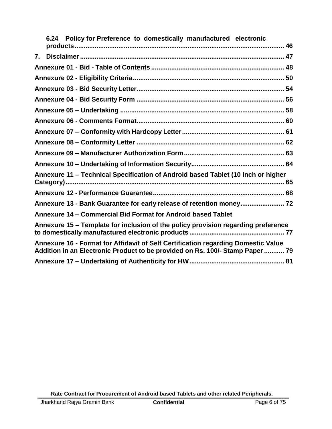|  | 6.24 Policy for Preference to domestically manufactured electronic                                                                                                 |  |
|--|--------------------------------------------------------------------------------------------------------------------------------------------------------------------|--|
|  |                                                                                                                                                                    |  |
|  |                                                                                                                                                                    |  |
|  |                                                                                                                                                                    |  |
|  |                                                                                                                                                                    |  |
|  |                                                                                                                                                                    |  |
|  |                                                                                                                                                                    |  |
|  |                                                                                                                                                                    |  |
|  |                                                                                                                                                                    |  |
|  |                                                                                                                                                                    |  |
|  |                                                                                                                                                                    |  |
|  |                                                                                                                                                                    |  |
|  | Annexure 11 - Technical Specification of Android based Tablet (10 inch or higher                                                                                   |  |
|  |                                                                                                                                                                    |  |
|  | Annexure 13 - Bank Guarantee for early release of retention money 72                                                                                               |  |
|  | Annexure 14 - Commercial Bid Format for Android based Tablet                                                                                                       |  |
|  | Annexure 15 - Template for inclusion of the policy provision regarding preference                                                                                  |  |
|  | Annexure 16 - Format for Affidavit of Self Certification regarding Domestic Value<br>Addition in an Electronic Product to be provided on Rs. 100/- Stamp Paper  79 |  |
|  |                                                                                                                                                                    |  |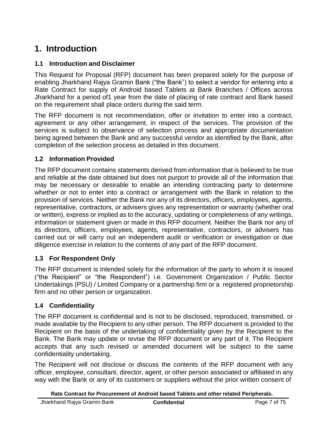## <span id="page-7-0"></span>**1. Introduction**

### <span id="page-7-1"></span>**1.1 Introduction and Disclaimer**

This Request for Proposal (RFP) document has been prepared solely for the purpose of enabling Jharkhand Rajya Gramin Bank ("the Bank") to select a vendor for entering into a Rate Contract for supply of Android based Tablets at Bank Branches / Offices across Jharkhand for a period of1 year from the date of placing of rate contract and Bank based on the requirement shall place orders during the said term.

The RFP document is not recommendation, offer or invitation to enter into a contract, agreement or any other arrangement, in respect of the services. The provision of the services is subject to observance of selection process and appropriate documentation being agreed between the Bank and any successful vendor as identified by the Bank, after completion of the selection process as detailed in this document.

### <span id="page-7-2"></span>**1.2 Information Provided**

The RFP document contains statements derived from information that is believed to be true and reliable at the date obtained but does not purport to provide all of the information that may be necessary or desirable to enable an intending contracting party to determine whether or not to enter into a contract or arrangement with the Bank in relation to the provision of services. Neither the Bank nor any of its directors, officers, employees, agents, representative, contractors, or advisers gives any representation or warranty (whether oral or written), express or implied as to the accuracy, updating or completeness of any writings, information or statement given or made in this RFP document. Neither the Bank nor any of its directors, officers, employees, agents, representative, contractors, or advisers has carried out or will carry out an independent audit or verification or investigation or due diligence exercise in relation to the contents of any part of the RFP document.

#### <span id="page-7-3"></span>**1.3 For Respondent Only**

The RFP document is intended solely for the information of the party to whom it is issued ("the Recipient" or "the Respondent") i.e. Government Organization / Public Sector Undertakings (PSU) / Limited Company or a partnership firm or a registered proprietorship firm and no other person or organization.

### <span id="page-7-4"></span>**1.4 Confidentiality**

The RFP document is confidential and is not to be disclosed, reproduced, transmitted, or made available by the Recipient to any other person. The RFP document is provided to the Recipient on the basis of the undertaking of confidentiality given by the Recipient to the Bank. The Bank may update or revise the RFP document or any part of it. The Recipient accepts that any such revised or amended document will be subject to the same confidentiality undertaking.

The Recipient will not disclose or discuss the contents of the RFP document with any officer, employee, consultant, director, agent, or other person associated or affiliated in any way with the Bank or any of its customers or suppliers without the prior written consent of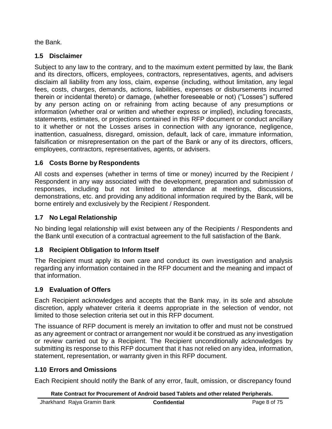the Bank.

### <span id="page-8-0"></span>**1.5 Disclaimer**

Subject to any law to the contrary, and to the maximum extent permitted by law, the Bank and its directors, officers, employees, contractors, representatives, agents, and advisers disclaim all liability from any loss, claim, expense (including, without limitation, any legal fees, costs, charges, demands, actions, liabilities, expenses or disbursements incurred therein or incidental thereto) or damage, (whether foreseeable or not) ("Losses") suffered by any person acting on or refraining from acting because of any presumptions or information (whether oral or written and whether express or implied), including forecasts, statements, estimates, or projections contained in this RFP document or conduct ancillary to it whether or not the Losses arises in connection with any ignorance, negligence, inattention, casualness, disregard, omission, default, lack of care, immature information, falsification or misrepresentation on the part of the Bank or any of its directors, officers, employees, contractors, representatives, agents, or advisers.

### <span id="page-8-1"></span>**1.6 Costs Borne by Respondents**

All costs and expenses (whether in terms of time or money) incurred by the Recipient / Respondent in any way associated with the development, preparation and submission of responses, including but not limited to attendance at meetings, discussions, demonstrations, etc. and providing any additional information required by the Bank, will be borne entirely and exclusively by the Recipient / Respondent.

### <span id="page-8-2"></span>**1.7 No Legal Relationship**

No binding legal relationship will exist between any of the Recipients / Respondents and the Bank until execution of a contractual agreement to the full satisfaction of the Bank.

### <span id="page-8-3"></span>**1.8 Recipient Obligation to Inform Itself**

The Recipient must apply its own care and conduct its own investigation and analysis regarding any information contained in the RFP document and the meaning and impact of that information.

### <span id="page-8-4"></span>**1.9 Evaluation of Offers**

Each Recipient acknowledges and accepts that the Bank may, in its sole and absolute discretion, apply whatever criteria it deems appropriate in the selection of vendor, not limited to those selection criteria set out in this RFP document.

The issuance of RFP document is merely an invitation to offer and must not be construed as any agreement or contract or arrangement nor would it be construed as any investigation or review carried out by a Recipient. The Recipient unconditionally acknowledges by submitting its response to this RFP document that it has not relied on any idea, information, statement, representation, or warranty given in this RFP document.

### <span id="page-8-5"></span>**1.10 Errors and Omissions**

Each Recipient should notify the Bank of any error, fault, omission, or discrepancy found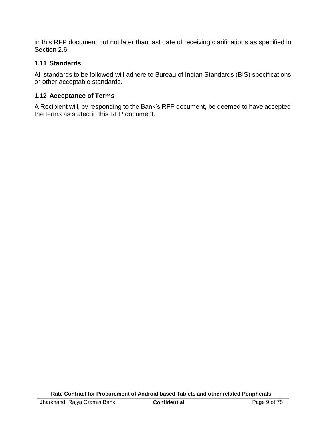in this RFP document but not later than last date of receiving clarifications as specified in Section 2.6.

### <span id="page-9-0"></span>**1.11 Standards**

All standards to be followed will adhere to Bureau of Indian Standards (BIS) specifications or other acceptable standards.

### <span id="page-9-1"></span>**1.12 Acceptance of Terms**

A Recipient will, by responding to the Bank's RFP document, be deemed to have accepted the terms as stated in this RFP document.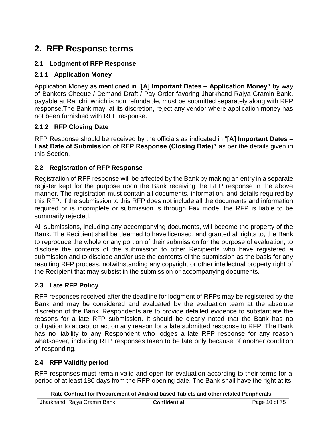## <span id="page-10-0"></span>**2. RFP Response terms**

### <span id="page-10-1"></span>**2.1 Lodgment of RFP Response**

### **2.1.1 Application Money**

Application Money as mentioned in "**[A] Important Dates – Application Money"** by way of Bankers Cheque / Demand Draft / Pay Order favoring Jharkhand Rajya Gramin Bank, payable at Ranchi, which is non refundable, must be submitted separately along with RFP response.The Bank may, at its discretion, reject any vendor where application money has not been furnished with RFP response.

### **2.1.2 RFP Closing Date**

RFP Response should be received by the officials as indicated in "**[A] Important Dates – Last Date of Submission of RFP Response (Closing Date)"** as per the details given in this Section.

### <span id="page-10-2"></span>**2.2 Registration of RFP Response**

Registration of RFP response will be affected by the Bank by making an entry in a separate register kept for the purpose upon the Bank receiving the RFP response in the above manner. The registration must contain all documents, information, and details required by this RFP. If the submission to this RFP does not include all the documents and information required or is incomplete or submission is through Fax mode, the RFP is liable to be summarily rejected.

All submissions, including any accompanying documents, will become the property of the Bank. The Recipient shall be deemed to have licensed, and granted all rights to, the Bank to reproduce the whole or any portion of their submission for the purpose of evaluation, to disclose the contents of the submission to other Recipients who have registered a submission and to disclose and/or use the contents of the submission as the basis for any resulting RFP process, notwithstanding any copyright or other intellectual property right of the Recipient that may subsist in the submission or accompanying documents.

### <span id="page-10-3"></span>**2.3 Late RFP Policy**

RFP responses received after the deadline for lodgment of RFPs may be registered by the Bank and may be considered and evaluated by the evaluation team at the absolute discretion of the Bank. Respondents are to provide detailed evidence to substantiate the reasons for a late RFP submission. It should be clearly noted that the Bank has no obligation to accept or act on any reason for a late submitted response to RFP. The Bank has no liability to any Respondent who lodges a late RFP response for any reason whatsoever, including RFP responses taken to be late only because of another condition of responding.

### <span id="page-10-4"></span>**2.4 RFP Validity period**

RFP responses must remain valid and open for evaluation according to their terms for a period of at least 180 days from the RFP opening date. The Bank shall have the right at its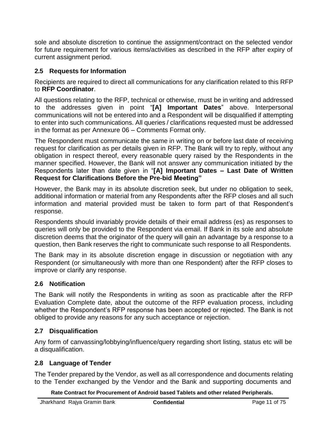sole and absolute discretion to continue the assignment/contract on the selected vendor for future requirement for various items/activities as described in the RFP after expiry of current assignment period.

### <span id="page-11-0"></span>**2.5 Requests for Information**

Recipients are required to direct all communications for any clarification related to this RFP to **RFP Coordinator**.

All questions relating to the RFP, technical or otherwise, must be in writing and addressed to the addresses given in point "**[A] Important Dates**" above. Interpersonal communications will not be entered into and a Respondent will be disqualified if attempting to enter into such communications. All queries / clarifications requested must be addressed in the format as per Annexure 06 – Comments Format only.

The Respondent must communicate the same in writing on or before last date of receiving request for clarification as per details given in RFP. The Bank will try to reply, without any obligation in respect thereof, every reasonable query raised by the Respondents in the manner specified. However, the Bank will not answer any communication initiated by the Respondents later than date given in "**[A] Important Dates – Last Date of Written Request for Clarifications Before the Pre-bid Meeting"**

However, the Bank may in its absolute discretion seek, but under no obligation to seek, additional information or material from any Respondents after the RFP closes and all such information and material provided must be taken to form part of that Respondent's response.

Respondents should invariably provide details of their email address (es) as responses to queries will only be provided to the Respondent via email. If Bank in its sole and absolute discretion deems that the originator of the query will gain an advantage by a response to a question, then Bank reserves the right to communicate such response to all Respondents.

The Bank may in its absolute discretion engage in discussion or negotiation with any Respondent (or simultaneously with more than one Respondent) after the RFP closes to improve or clarify any response.

### <span id="page-11-1"></span>**2.6 Notification**

The Bank will notify the Respondents in writing as soon as practicable after the RFP Evaluation Complete date, about the outcome of the RFP evaluation process, including whether the Respondent's RFP response has been accepted or rejected. The Bank is not obliged to provide any reasons for any such acceptance or rejection.

### <span id="page-11-2"></span>**2.7 Disqualification**

Any form of canvassing/lobbying/influence/query regarding short listing, status etc will be a disqualification.

### <span id="page-11-3"></span>**2.8 Language of Tender**

The Tender prepared by the Vendor, as well as all correspondence and documents relating to the Tender exchanged by the Vendor and the Bank and supporting documents and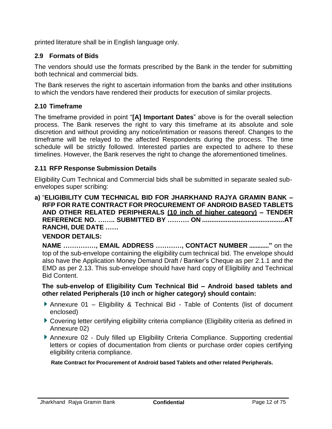printed literature shall be in English language only.

### <span id="page-12-0"></span>**2.9 Formats of Bids**

The vendors should use the formats prescribed by the Bank in the tender for submitting both technical and commercial bids.

The Bank reserves the right to ascertain information from the banks and other institutions to which the vendors have rendered their products for execution of similar projects.

#### <span id="page-12-1"></span>**2.10 Timeframe**

The timeframe provided in point "**[A] Important Dates**" above is for the overall selection process. The Bank reserves the right to vary this timeframe at its absolute and sole discretion and without providing any notice/intimation or reasons thereof. Changes to the timeframe will be relayed to the affected Respondents during the process. The time schedule will be strictly followed. Interested parties are expected to adhere to these timelines. However, the Bank reserves the right to change the aforementioned timelines.

#### <span id="page-12-2"></span>**2.11 RFP Response Submission Details**

Eligibility Cum Technical and Commercial bids shall be submitted in separate sealed subenvelopes super scribing:

**a)** "**ELIGIBILITY CUM TECHNICAL BID FOR JHARKHAND RAJYA GRAMIN BANK – RFP FOR RATE CONTRACT FOR PROCUREMENT OF ANDROID BASED TABLETS AND OTHER RELATED PERIPHERALS (10 inch of higher category) – TENDER REFERENCE NO. …….. SUBMITTED BY ………. ON .............................................AT RANCHI, DUE DATE ……**

#### **VENDOR DETAILS:**

**NAME ……………, EMAIL ADDRESS …………, CONTACT NUMBER ............"** on the top of the sub-envelope containing the eligibility cum technical bid. The envelope should also have the Application Money Demand Draft / Banker's Cheque as per 2.1.1 and the EMD as per 2.13. This sub-envelope should have hard copy of Eligibility and Technical Bid Content.

#### **The sub-envelop of Eligibility Cum Technical Bid – Android based tablets and other related Peripherals (10 inch or higher category) should contain:**

- Annexure 01 Eligibility & Technical Bid Table of Contents (list of document enclosed)
- Covering letter certifying eligibility criteria compliance (Eligibility criteria as defined in Annexure 02)
- Annexure 02 Duly filled up Eligibility Criteria Compliance. Supporting credential letters or copies of documentation from clients or purchase order copies certifying eligibility criteria compliance.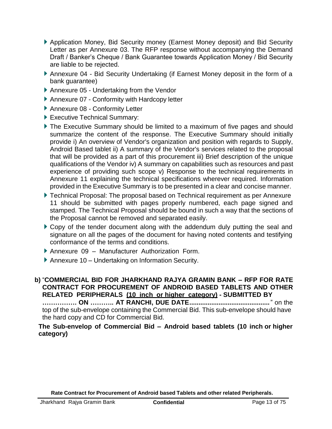- Application Money, Bid Security money (Earnest Money deposit) and Bid Security Letter as per Annexure 03. The RFP response without accompanying the Demand Draft / Banker's Cheque / Bank Guarantee towards Application Money / Bid Security are liable to be rejected.
- Annexure 04 Bid Security Undertaking (if Earnest Money deposit in the form of a bank guarantee)
- Annexure 05 Undertaking from the Vendor
- Annexure 07 Conformity with Hardcopy letter
- **Annexure 08 Conformity Letter**
- Executive Technical Summary:
- The Executive Summary should be limited to a maximum of five pages and should summarize the content of the response. The Executive Summary should initially provide i) An overview of Vendor's organization and position with regards to Supply, Android Based tablet ii) A summary of the Vendor's services related to the proposal that will be provided as a part of this procurement iii) Brief description of the unique qualifications of the Vendor iv) A summary on capabilities such as resources and past experience of providing such scope v) Response to the technical requirements in Annexure 11 explaining the technical specifications wherever required. Information provided in the Executive Summary is to be presented in a clear and concise manner.
- Technical Proposal: The proposal based on Technical requirement as per Annexure 11 should be submitted with pages properly numbered, each page signed and stamped. The Technical Proposal should be bound in such a way that the sections of the Proposal cannot be removed and separated easily.
- Copy of the tender document along with the addendum duly putting the seal and signature on all the pages of the document for having noted contents and testifying conformance of the terms and conditions.
- Annexure 09 Manufacturer Authorization Form.
- Annexure 10 Undertaking on Information Security.

### **b)** "**COMMERCIAL BID FOR JHARKHAND RAJYA GRAMIN BANK – RFP FOR RATE CONTRACT FOR PROCUREMENT OF ANDROID BASED TABLETS AND OTHER RELATED PERIPHERALS (10 inch or higher category) - SUBMITTED BY**

**……………. ON ……….. AT RANCHI, DUE DATE............................................**" on the top of the sub-envelope containing the Commercial Bid. This sub-envelope should have the hard copy and CD for Commercial Bid.

**The Sub-envelop of Commercial Bid – Android based tablets (10 inch or higher category)**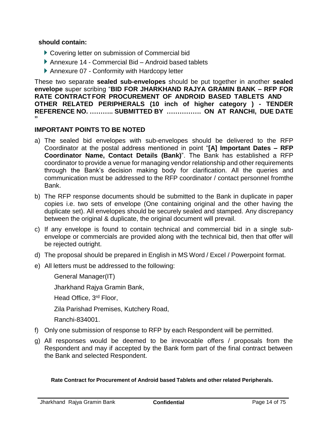#### **should contain:**

- Covering letter on submission of Commercial bid
- ▶ Annexure 14 Commercial Bid Android based tablets
- Annexure 07 Conformity with Hardcopy letter

These two separate **sealed sub-envelopes** should be put together in another **sealed envelope** super scribing "**BID FOR JHARKHAND RAJYA GRAMIN BANK – RFP FOR RATE CONTRACTFOR PROCUREMENT OF ANDROID BASED TABLETS AND OTHER RELATED PERIPHERALS (10 inch of higher category ) - TENDER REFERENCE NO. ……….. SUBMITTED BY ……………. ON AT RANCHI, DUE DATE "**

#### **IMPORTANT POINTS TO BE NOTED**

- a) The sealed bid envelopes with sub-envelopes should be delivered to the RFP Coordinator at the postal address mentioned in point "**[A] Important Dates – RFP Coordinator Name, Contact Details (Bank)**". The Bank has established a RFP coordinator to provide a venue for managing vendor relationship and other requirements through the Bank's decision making body for clarification. All the queries and communication must be addressed to the RFP coordinator / contact personnel fromthe Bank.
- b) The RFP response documents should be submitted to the Bank in duplicate in paper copies i.e. two sets of envelope (One containing original and the other having the duplicate set). All envelopes should be securely sealed and stamped. Any discrepancy between the original & duplicate, the original document will prevail.
- c) If any envelope is found to contain technical and commercial bid in a single subenvelope or commercials are provided along with the technical bid, then that offer will be rejected outright.
- d) The proposal should be prepared in English in MS Word / Excel / Powerpoint format.
- e) All letters must be addressed to the following:
	- General Manager(IT)

Jharkhand Rajya Gramin Bank,

Head Office, 3rd Floor,

Zila Parishad Premises, Kutchery Road,

Ranchi-834001.

- f) Only one submission of response to RFP by each Respondent will be permitted.
- g) All responses would be deemed to be irrevocable offers / proposals from the Respondent and may if accepted by the Bank form part of the final contract between the Bank and selected Respondent.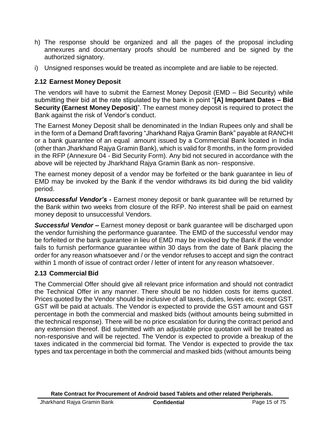- h) The response should be organized and all the pages of the proposal including annexures and documentary proofs should be numbered and be signed by the authorized signatory.
- i) Unsigned responses would be treated as incomplete and are liable to be rejected.

### <span id="page-15-0"></span>**2.12 Earnest Money Deposit**

The vendors will have to submit the Earnest Money Deposit (EMD – Bid Security) while submitting their bid at the rate stipulated by the bank in point "**[A] Important Dates – Bid Security (Earnest Money Deposit)**". The earnest money deposit is required to protect the Bank against the risk of Vendor's conduct.

The Earnest Money Deposit shall be denominated in the Indian Rupees only and shall be in the form of a Demand Draft favoring "Jharkhand Rajya Gramin Bank" payable at RANCHI or a bank guarantee of an equal amount issued by a Commercial Bank located in India (other than Jharkhand Rajya Gramin Bank), which is valid for 8 months, in the form provided in the RFP (Annexure 04 - Bid Security Form). Any bid not secured in accordance with the above will be rejected by Jharkhand Rajya Gramin Bank as non- responsive.

The earnest money deposit of a vendor may be forfeited or the bank guarantee in lieu of EMD may be invoked by the Bank if the vendor withdraws its bid during the bid validity period.

*Unsuccessful Vendor's -* Earnest money deposit or bank guarantee will be returned by the Bank within two weeks from closure of the RFP. No interest shall be paid on earnest money deposit to unsuccessful Vendors.

*Successful Vendor –* Earnest money deposit or bank guarantee will be discharged upon the vendor furnishing the performance guarantee. The EMD of the successful vendor may be forfeited or the bank guarantee in lieu of EMD may be invoked by the Bank if the vendor fails to furnish performance guarantee within 30 days from the date of Bank placing the order for any reason whatsoever and / or the vendor refuses to accept and sign the contract within 1 month of issue of contract order / letter of intent for any reason whatsoever.

### <span id="page-15-1"></span>**2.13 Commercial Bid**

The Commercial Offer should give all relevant price information and should not contradict the Technical Offer in any manner. There should be no hidden costs for items quoted. Prices quoted by the Vendor should be inclusive of all taxes, duties, levies etc. except GST. GST will be paid at actuals. The Vendor is expected to provide the GST amount and GST percentage in both the commercial and masked bids (without amounts being submitted in the technical response). There will be no price escalation for during the contract period and any extension thereof. Bid submitted with an adjustable price quotation will be treated as non-responsive and will be rejected. The Vendor is expected to provide a breakup of the taxes indicated in the commercial bid format. The Vendor is expected to provide the tax types and tax percentage in both the commercial and masked bids (without amounts being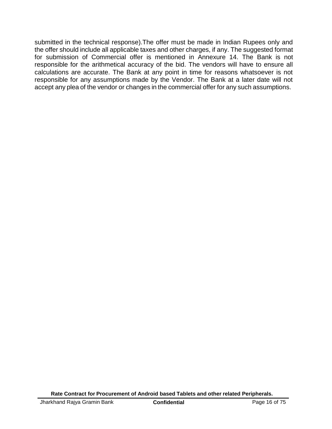submitted in the technical response).The offer must be made in Indian Rupees only and the offer should include all applicable taxes and other charges, if any. The suggested format for submission of Commercial offer is mentioned in Annexure 14. The Bank is not responsible for the arithmetical accuracy of the bid. The vendors will have to ensure all calculations are accurate. The Bank at any point in time for reasons whatsoever is not responsible for any assumptions made by the Vendor. The Bank at a later date will not accept any plea of the vendor or changes in the commercial offer for any such assumptions.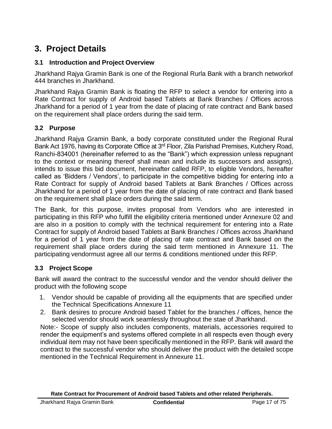## <span id="page-17-0"></span>**3. Project Details**

#### <span id="page-17-1"></span>**3.1 Introduction and Project Overview**

Jharkhand Rajya Gramin Bank is one of the Regional Rurla Bank with a branch networkof 444 branches in Jharkhand.

Jharkhand Rajya Gramin Bank is floating the RFP to select a vendor for entering into a Rate Contract for supply of Android based Tablets at Bank Branches / Offices across Jharkhand for a period of 1 year from the date of placing of rate contract and Bank based on the requirement shall place orders during the said term.

### <span id="page-17-2"></span>**3.2 Purpose**

Jharkhand Rajya Gramin Bank, a body corporate constituted under the Regional Rural Bank Act 1976, having its Corporate Office at 3<sup>rd</sup> Floor, Zila Parishad Premises, Kutchery Road, Ranchi-834001 (hereinafter referred to as the "Bank") which expression unless repugnant to the context or meaning thereof shall mean and include its successors and assigns), intends to issue this bid document, hereinafter called RFP, to eligible Vendors, hereafter called as 'Bidders / Vendors', to participate in the competitive bidding for entering into a Rate Contract for supply of Android based Tablets at Bank Branches / Offices across Jharkhand for a period of 1 year from the date of placing of rate contract and Bank based on the requirement shall place orders during the said term.

The Bank, for this purpose, invites proposal from Vendors who are interested in participating in this RFP who fulfill the eligibility criteria mentioned under Annexure 02 and are also in a position to comply with the technical requirement for entering into a Rate Contract for supply of Android based Tablets at Bank Branches / Offices across Jharkhand for a period of 1 year from the date of placing of rate contract and Bank based on the requirement shall place orders during the said term mentioned in Annexure 11. The participating vendormust agree all our terms & conditions mentioned under this RFP.

### <span id="page-17-3"></span>**3.3 Project Scope**

Bank will award the contract to the successful vendor and the vendor should deliver the product with the following scope

- 1. Vendor should be capable of providing all the equipments that are specified under the Technical Specifications Annexure 11
- 2. Bank desires to procure Android based Tablet for the branches / offices, hence the selected vendor should work seamlessly throughout the stae of Jharkhand.

Note:- Scope of supply also includes components, materials, accessories required to render the equipment's and systems offered complete in all respects even though every individual item may not have been specifically mentioned in the RFP. Bank will award the contract to the successful vendor who should deliver the product with the detailed scope mentioned in the Technical Requirement in Annexure 11.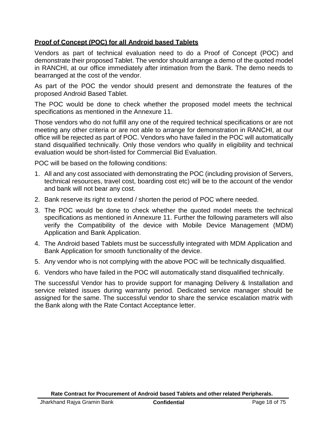### **Proof of Concept (POC) for all Android based Tablets**

Vendors as part of technical evaluation need to do a Proof of Concept (POC) and demonstrate their proposed Tablet. The vendor should arrange a demo of the quoted model in RANCHI, at our office immediately after intimation from the Bank. The demo needs to bearranged at the cost of the vendor.

As part of the POC the vendor should present and demonstrate the features of the proposed Android Based Tablet.

The POC would be done to check whether the proposed model meets the technical specifications as mentioned in the Annexure 11.

Those vendors who do not fulfill any one of the required technical specifications or are not meeting any other criteria or are not able to arrange for demonstration in RANCHI, at our office will be rejected as part of POC. Vendors who have failed in the POC will automatically stand disqualified technically. Only those vendors who qualify in eligibility and technical evaluation would be short-listed for Commercial Bid Evaluation.

POC will be based on the following conditions:

- 1. All and any cost associated with demonstrating the POC (including provision of Servers, technical resources, travel cost, boarding cost etc) will be to the account of the vendor and bank will not bear any cost.
- 2. Bank reserve its right to extend / shorten the period of POC where needed.
- 3. The POC would be done to check whether the quoted model meets the technical specifications as mentioned in Annexure 11. Further the following parameters will also verify the Compatibility of the device with Mobile Device Management (MDM) Application and Bank Application.
- 4. The Android based Tablets must be successfully integrated with MDM Application and Bank Application for smooth functionality of the device.
- 5. Any vendor who is not complying with the above POC will be technically disqualified.
- 6. Vendors who have failed in the POC will automatically stand disqualified technically.

The successful Vendor has to provide support for managing Delivery & Installation and service related issues during warranty period. Dedicated service manager should be assigned for the same. The successful vendor to share the service escalation matrix with the Bank along with the Rate Contact Acceptance letter.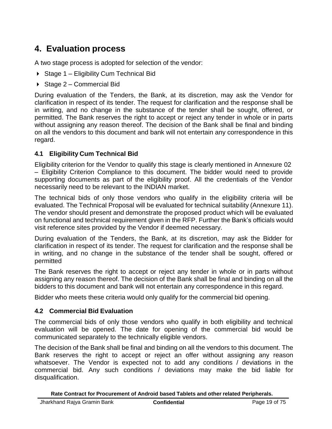## <span id="page-19-0"></span>**4. Evaluation process**

A two stage process is adopted for selection of the vendor:

- ▶ Stage 1 Eligibility Cum Technical Bid
- $\triangleright$  Stage 2 Commercial Bid

During evaluation of the Tenders, the Bank, at its discretion, may ask the Vendor for clarification in respect of its tender. The request for clarification and the response shall be in writing, and no change in the substance of the tender shall be sought, offered, or permitted. The Bank reserves the right to accept or reject any tender in whole or in parts without assigning any reason thereof. The decision of the Bank shall be final and binding on all the vendors to this document and bank will not entertain any correspondence in this regard.

#### <span id="page-19-1"></span>**4.1 Eligibility Cum Technical Bid**

Eligibility criterion for the Vendor to qualify this stage is clearly mentioned in Annexure 02 – Eligibility Criterion Compliance to this document. The bidder would need to provide supporting documents as part of the eligibility proof. All the credentials of the Vendor necessarily need to be relevant to the INDIAN market.

The technical bids of only those vendors who qualify in the eligibility criteria will be evaluated. The Technical Proposal will be evaluated for technical suitability (Annexure 11). The vendor should present and demonstrate the proposed product which will be evaluated on functional and technical requirement given in the RFP. Further the Bank's officials would visit reference sites provided by the Vendor if deemed necessary.

During evaluation of the Tenders, the Bank, at its discretion, may ask the Bidder for clarification in respect of its tender. The request for clarification and the response shall be in writing, and no change in the substance of the tender shall be sought, offered or permitted

The Bank reserves the right to accept or reject any tender in whole or in parts without assigning any reason thereof. The decision of the Bank shall be final and binding on all the bidders to this document and bank will not entertain any correspondence in this regard.

Bidder who meets these criteria would only qualify for the commercial bid opening.

#### <span id="page-19-2"></span>**4.2 Commercial Bid Evaluation**

The commercial bids of only those vendors who qualify in both eligibility and technical evaluation will be opened. The date for opening of the commercial bid would be communicated separately to the technically eligible vendors.

The decision of the Bank shall be final and binding on all the vendors to this document. The Bank reserves the right to accept or reject an offer without assigning any reason whatsoever. The Vendor is expected not to add any conditions / deviations in the commercial bid. Any such conditions / deviations may make the bid liable for disqualification.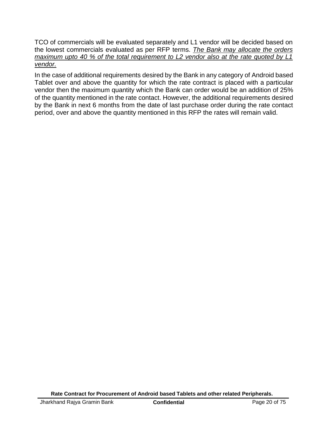TCO of commercials will be evaluated separately and L1 vendor will be decided based on the lowest commercials evaluated as per RFP terms. *The Bank may allocate the orders maximum upto 40 % of the total requirement to L2 vendor also at the rate quoted by L1 vendor.*

In the case of additional requirements desired by the Bank in any category of Android based Tablet over and above the quantity for which the rate contract is placed with a particular vendor then the maximum quantity which the Bank can order would be an addition of 25% of the quantity mentioned in the rate contact. However, the additional requirements desired by the Bank in next 6 months from the date of last purchase order during the rate contact period, over and above the quantity mentioned in this RFP the rates will remain valid.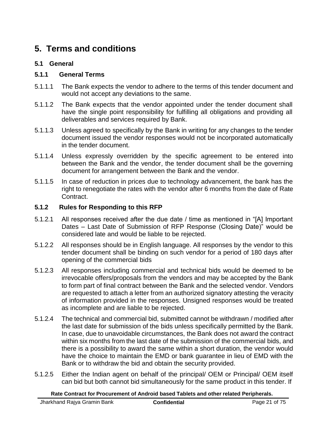## <span id="page-21-0"></span>**5. Terms and conditions**

#### <span id="page-21-1"></span>**5.1 General**

#### **5.1.1 General Terms**

- 5.1.1.1 The Bank expects the vendor to adhere to the terms of this tender document and would not accept any deviations to the same.
- 5.1.1.2 The Bank expects that the vendor appointed under the tender document shall have the single point responsibility for fulfilling all obligations and providing all deliverables and services required by Bank.
- 5.1.1.3 Unless agreed to specifically by the Bank in writing for any changes to the tender document issued the vendor responses would not be incorporated automatically in the tender document.
- 5.1.1.4 Unless expressly overridden by the specific agreement to be entered into between the Bank and the vendor, the tender document shall be the governing document for arrangement between the Bank and the vendor.
- 5.1.1.5 In case of reduction in prices due to technology advancement, the bank has the right to renegotiate the rates with the vendor after 6 months from the date of Rate Contract.

#### **5.1.2 Rules for Responding to this RFP**

- 5.1.2.1 All responses received after the due date / time as mentioned in "[A] Important Dates – Last Date of Submission of RFP Response (Closing Date)" would be considered late and would be liable to be rejected.
- 5.1.2.2 All responses should be in English language. All responses by the vendor to this tender document shall be binding on such vendor for a period of 180 days after opening of the commercial bids
- 5.1.2.3 All responses including commercial and technical bids would be deemed to be irrevocable offers/proposals from the vendors and may be accepted by the Bank to form part of final contract between the Bank and the selected vendor. Vendors are requested to attach a letter from an authorized signatory attesting the veracity of information provided in the responses. Unsigned responses would be treated as incomplete and are liable to be rejected.
- 5.1.2.4 The technical and commercial bid, submitted cannot be withdrawn / modified after the last date for submission of the bids unless specifically permitted by the Bank. In case, due to unavoidable circumstances, the Bank does not award the contract within six months from the last date of the submission of the commercial bids, and there is a possibility to award the same within a short duration, the vendor would have the choice to maintain the EMD or bank guarantee in lieu of EMD with the Bank or to withdraw the bid and obtain the security provided.
- 5.1.2.5 Either the Indian agent on behalf of the principal/ OEM or Principal/ OEM itself can bid but both cannot bid simultaneously for the same product in this tender. If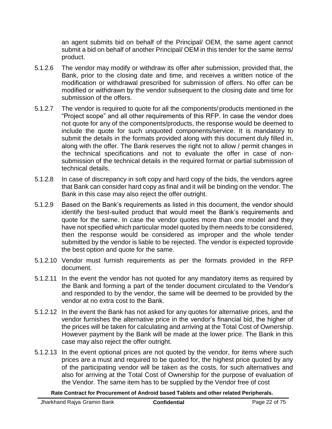an agent submits bid on behalf of the Principal/ OEM, the same agent cannot submit a bid on behalf of another Principal/ OEM in this tender for the same items/ product.

- 5.1.2.6 The vendor may modify or withdraw its offer after submission, provided that, the Bank, prior to the closing date and time, and receives a written notice of the modification or withdrawal prescribed for submission of offers. No offer can be modified or withdrawn by the vendor subsequent to the closing date and time for submission of the offers.
- 5.1.2.7 The vendor is required to quote for all the components/ products mentioned in the "Project scope" and all other requirements of this RFP. In case the vendor does not quote for any of the components/products, the response would be deemed to include the quote for such unquoted components/service. It is mandatory to submit the details in the formats provided along with this document duly filled in, along with the offer. The Bank reserves the right not to allow / permit changes in the technical specifications and not to evaluate the offer in case of nonsubmission of the technical details in the required format or partial submission of technical details.
- 5.1.2.8 In case of discrepancy in soft copy and hard copy of the bids, the vendors agree that Bank can consider hard copy as final and it will be binding on the vendor. The Bank in this case may also reject the offer outright.
- 5.1.2.9 Based on the Bank's requirements as listed in this document, the vendor should identify the best-suited product that would meet the Bank's requirements and quote for the same. In case the vendor quotes more than one model and they have not specified which particular model quoted by them needs to be considered, then the response would be considered as improper and the whole tender submitted by the vendor is liable to be rejected. The vendor is expected toprovide the best option and quote for the same.
- 5.1.2.10 Vendor must furnish requirements as per the formats provided in the RFP document.
- 5.1.2.11 In the event the vendor has not quoted for any mandatory items as required by the Bank and forming a part of the tender document circulated to the Vendor's and responded to by the vendor, the same will be deemed to be provided by the vendor at no extra cost to the Bank.
- 5.1.2.12 In the event the Bank has not asked for any quotes for alternative prices, and the vendor furnishes the alternative price in the vendor's financial bid, the higher of the prices will be taken for calculating and arriving at the Total Cost of Ownership. However payment by the Bank will be made at the lower price. The Bank in this case may also reject the offer outright.
- 5.1.2.13 In the event optional prices are not quoted by the vendor, for items where such prices are a must and required to be quoted for, the highest price quoted by any of the participating vendor will be taken as the costs, for such alternatives and also for arriving at the Total Cost of Ownership for the purpose of evaluation of the Vendor. The same item has to be supplied by the Vendor free of cost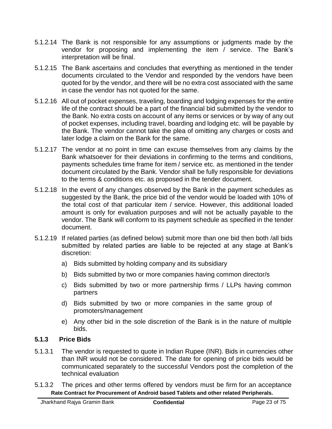- 5.1.2.14 The Bank is not responsible for any assumptions or judgments made by the vendor for proposing and implementing the item / service. The Bank's interpretation will be final.
- 5.1.2.15 The Bank ascertains and concludes that everything as mentioned in the tender documents circulated to the Vendor and responded by the vendors have been quoted for by the vendor, and there will be no extra cost associated with the same in case the vendor has not quoted for the same.
- 5.1.2.16 All out of pocket expenses, traveling, boarding and lodging expenses for the entire life of the contract should be a part of the financial bid submitted by the vendor to the Bank. No extra costs on account of any items or services or by way of any out of pocket expenses, including travel, boarding and lodging etc. will be payable by the Bank. The vendor cannot take the plea of omitting any charges or costs and later lodge a claim on the Bank for the same.
- 5.1.2.17 The vendor at no point in time can excuse themselves from any claims by the Bank whatsoever for their deviations in confirming to the terms and conditions, payments schedules time frame for item / service etc. as mentioned in the tender document circulated by the Bank. Vendor shall be fully responsible for deviations to the terms & conditions etc. as proposed in the tender document.
- 5.1.2.18 In the event of any changes observed by the Bank in the payment schedules as suggested by the Bank, the price bid of the vendor would be loaded with 10% of the total cost of that particular item / service. However, this additional loaded amount is only for evaluation purposes and will not be actually payable to the vendor. The Bank will conform to its payment schedule as specified in the tender document.
- 5.1.2.19 If related parties (as defined below) submit more than one bid then both /all bids submitted by related parties are liable to be rejected at any stage at Bank's discretion:
	- a) Bids submitted by holding company and its subsidiary
	- b) Bids submitted by two or more companies having common director/s
	- c) Bids submitted by two or more partnership firms / LLPs having common partners
	- d) Bids submitted by two or more companies in the same group of promoters/management
	- e) Any other bid in the sole discretion of the Bank is in the nature of multiple bids.

### **5.1.3 Price Bids**

- 5.1.3.1 The vendor is requested to quote in Indian Rupee (INR). Bids in currencies other than INR would not be considered. The date for opening of price bids would be communicated separately to the successful Vendors post the completion of the technical evaluation
- 5.1.3.2 The prices and other terms offered by vendors must be firm for an acceptance **Rate Contract for Procurement of Android based Tablets and other related Peripherals.**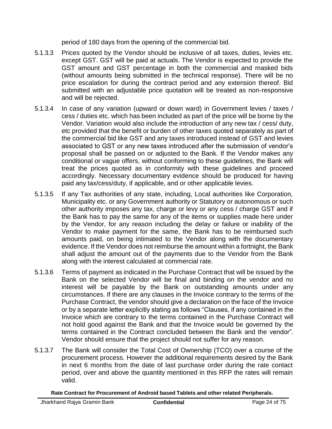period of 180 days from the opening of the commercial bid.

- 5.1.3.3 Prices quoted by the Vendor should be inclusive of all taxes, duties, levies etc. except GST. GST will be paid at actuals. The Vendor is expected to provide the GST amount and GST percentage in both the commercial and masked bids (without amounts being submitted in the technical response). There will be no price escalation for during the contract period and any extension thereof. Bid submitted with an adjustable price quotation will be treated as non-responsive and will be rejected.
- 5.1.3.4 In case of any variation (upward or down ward) in Government levies / taxes / cess / duties etc. which has been included as part of the price will be borne by the Vendor. Variation would also include the introduction of any new tax / cess/ duty, etc provided that the benefit or burden of other taxes quoted separately as part of the commercial bid like GST and any taxes introduced instead of GST and levies associated to GST or any new taxes introduced after the submission of vendor's proposal shall be passed on or adjusted to the Bank. If the Vendor makes any conditional or vague offers, without conforming to these guidelines, the Bank will treat the prices quoted as in conformity with these guidelines and proceed accordingly. Necessary documentary evidence should be produced for having paid any tax/cess/duty, if applicable, and or other applicable levies.
- 5.1.3.5 If any Tax authorities of any state, including, Local authorities like Corporation, Municipality etc. or any Government authority or Statutory or autonomous or such other authority imposes any tax, charge or levy or any cess / charge GST and if the Bank has to pay the same for any of the items or supplies made here under by the Vendor, for any reason including the delay or failure or inability of the Vendor to make payment for the same, the Bank has to be reimbursed such amounts paid, on being intimated to the Vendor along with the documentary evidence. If the Vendor does not reimburse the amount within a fortnight, the Bank shall adjust the amount out of the payments due to the Vendor from the Bank along with the interest calculated at commercial rate.
- 5.1.3.6 Terms of payment as indicated in the Purchase Contract that will be issued by the Bank on the selected Vendor will be final and binding on the vendor and no interest will be payable by the Bank on outstanding amounts under any circumstances. If there are any clauses in the Invoice contrary to the terms of the Purchase Contract, the vendor should give a declaration on the face of the Invoice or by a separate letter explicitly stating as follows "Clauses, if any contained in the Invoice which are contrary to the terms contained in the Purchase Contract will not hold good against the Bank and that the Invoice would be governed by the terms contained in the Contract concluded between the Bank and the vendor". Vendor should ensure that the project should not suffer for any reason.
- 5.1.3.7 The Bank will consider the Total Cost of Ownership (TCO) over a course of the procurement process. However the additional requirements desired by the Bank in next 6 months from the date of last purchase order during the rate contact period, over and above the quantity mentioned in this RFP the rates will remain valid.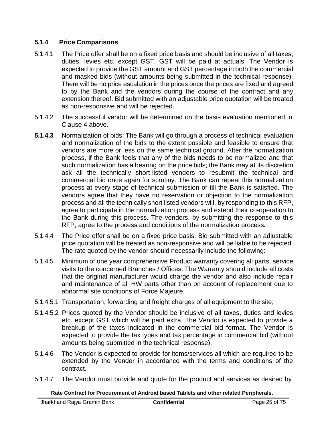#### **5.1.4 Price Comparisons**

- 5.1.4.1 The Price offer shall be on a fixed price basis and should be inclusive of all taxes, duties, levies etc. except GST. GST will be paid at actuals. The Vendor is expected to provide the GST amount and GST percentage in both the commercial and masked bids (without amounts being submitted in the technical response). There will be no price escalation in the prices once the prices are fixed and agreed to by the Bank and the vendors during the course of the contract and any extension thereof. Bid submitted with an adjustable price quotation will be treated as non-responsive and will be rejected.
- 5.1.4.2 The successful vendor will be determined on the basis evaluation mentioned in Clause 4 above.
- **5.1.4.3** Normalization of bids: The Bank will go through a process of technical evaluation and normalization of the bids to the extent possible and feasible to ensure that vendors are more or less on the same technical ground. After the normalization process, if the Bank feels that any of the bids needs to be normalized and that such normalization has a bearing on the price bids; the Bank may at its discretion ask all the technically short-listed vendors to resubmit the technical and commercial bid once again for scrutiny. The Bank can repeat this normalization process at every stage of technical submission or till the Bank is satisfied. The vendors agree that they have no reservation or objection to the normalization process and all the technically short listed vendors will, by responding to this RFP, agree to participate in the normalization process and extend their co-operation to the Bank during this process. The vendors, by submitting the response to this RFP, agree to the process and conditions of the normalization process**.**
- 5.1.4.4 The Price offer shall be on a fixed price basis. Bid submitted with an adjustable price quotation will be treated as non-responsive and will be liable to be rejected. The rate quoted by the vendor should necessarily include the following:
- 5.1.4.5 Minimum of one year comprehensive Product warranty covering all parts, service visits to the concerned Branches / Offices. The Warranty should include all costs that the original manufacturer would charge the vendor and also include repair and maintenance of all HW parts other than on account of replacement due to abnormal site conditions of Force Majeure.
- 5.1.4.5.1 Transportation, forwarding and freight charges of all equipment to the site;
- 5.1.4.5.2 Prices quoted by the Vendor should be inclusive of all taxes, duties and levies etc. except GST which will be paid extra. The Vendor is expected to provide a breakup of the taxes indicated in the commercial bid format. The Vendor is expected to provide the tax types and tax percentage in commercial bid (without amounts being submitted in the technical response).
- 5.1.4.6 The Vendor is expected to provide for items/services all which are required to be extended by the Vendor in accordance with the terms and conditions of the contract.
- 5.1.4.7 The Vendor must provide and quote for the product and services as desired by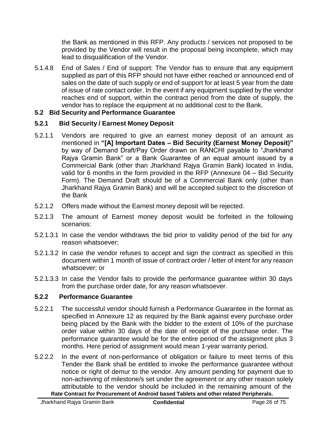the Bank as mentioned in this RFP. Any products / services not proposed to be provided by the Vendor will result in the proposal being incomplete, which may lead to disqualification of the Vendor.

5.1.4.8 End of Sales / End of support: The Vendor has to ensure that any equipment supplied as part of this RFP should not have either reached or announced end of sales on the date of such supply or end of support for at least 5 year from the date of issue of rate contact order. In the event if any equipment supplied by the vendor reaches end of support, within the contract period from the date of supply, the vendor has to replace the equipment at no additional cost to the Bank.

#### <span id="page-26-0"></span>**5.2 Bid Security and Performance Guarantee**

#### **5.2.1 Bid Security / Earnest Money Deposit**

- 5.2.1.1 Vendors are required to give an earnest money deposit of an amount as mentioned in **"[A] Important Dates – Bid Security (Earnest Money Deposit)"** by way of Demand Draft/Pay Order drawn on RANCHI payable to "Jharkhand Rajya Gramin Bank" or a Bank Guarantee of an equal amount issued by a Commercial Bank (other than Jharkhand Rajya Gramin Bank) located in India, valid for 6 months in the form provided in the RFP (Annexure 04 – Bid Security Form). The Demand Draft should be of a Commercial Bank only (other than Jharkhand Rajya Gramin Bank) and will be accepted subject to the discretion of the Bank
- 5.2.1.2 Offers made without the Earnest money deposit will be rejected.
- 5.2.1.3 The amount of Earnest money deposit would be forfeited in the following scenarios:
- 5.2.1.3.1 In case the vendor withdraws the bid prior to validity period of the bid for any reason whatsoever;
- 5.2.1.3.2 In case the vendor refuses to accept and sign the contract as specified in this document within 1 month of issue of contract order / letter of intent for any reason whatsoever; or
- 5.2.1.3.3 In case the Vendor fails to provide the performance guarantee within 30 days from the purchase order date, for any reason whatsoever.

#### **5.2.2 Performance Guarantee**

- 5.2.2.1 The successful vendor should furnish a Performance Guarantee in the format as specified in Annexure 12 as required by the Bank against every purchase order being placed by the Bank with the bidder to the extent of 10% of the purchase order value within 30 days of the date of receipt of the purchase order. The performance guarantee would be for the entire period of the assignment plus 3 months. Here period of assignment would mean 1-year warranty period.
- 5.2.2.2 In the event of non-performance of obligation or failure to meet terms of this Tender the Bank shall be entitled to invoke the performance guarantee without notice or right of demur to the vendor. Any amount pending for payment due to non-achieving of milestone/s set under the agreement or any other reason solely attributable to the vendor should be included in the remaining amount of the **Rate Contract for Procurement of Android based Tablets and other related Peripherals.**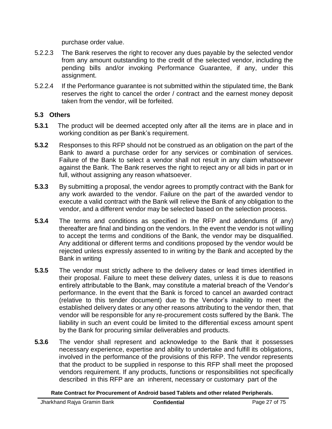purchase order value.

- 5.2.2.3 The Bank reserves the right to recover any dues payable by the selected vendor from any amount outstanding to the credit of the selected vendor, including the pending bills and/or invoking Performance Guarantee, if any, under this assignment.
- 5.2.2.4 If the Performance guarantee is not submitted within the stipulated time, the Bank reserves the right to cancel the order / contract and the earnest money deposit taken from the vendor, will be forfeited.

#### <span id="page-27-0"></span>**5.3 Others**

- **5.3.1** The product will be deemed accepted only after all the items are in place and in working condition as per Bank's requirement.
- **5.3.2** Responses to this RFP should not be construed as an obligation on the part of the Bank to award a purchase order for any services or combination of services. Failure of the Bank to select a vendor shall not result in any claim whatsoever against the Bank. The Bank reserves the right to reject any or all bids in part or in full, without assigning any reason whatsoever.
- **5.3.3** By submitting a proposal, the vendor agrees to promptly contract with the Bank for any work awarded to the vendor. Failure on the part of the awarded vendor to execute a valid contract with the Bank will relieve the Bank of any obligation to the vendor, and a different vendor may be selected based on the selection process.
- **5.3.4** The terms and conditions as specified in the RFP and addendums (if any) thereafter are final and binding on the vendors. In the event the vendor is not willing to accept the terms and conditions of the Bank, the vendor may be disqualified. Any additional or different terms and conditions proposed by the vendor would be rejected unless expressly assented to in writing by the Bank and accepted by the Bank in writing
- **5.3.5** The vendor must strictly adhere to the delivery dates or lead times identified in their proposal. Failure to meet these delivery dates, unless it is due to reasons entirely attributable to the Bank, may constitute a material breach of the Vendor's performance. In the event that the Bank is forced to cancel an awarded contract (relative to this tender document) due to the Vendor's inability to meet the established delivery dates or any other reasons attributing to the vendor then, that vendor will be responsible for any re-procurement costs suffered by the Bank. The liability in such an event could be limited to the differential excess amount spent by the Bank for procuring similar deliverables and products.
- **5.3.6** The vendor shall represent and acknowledge to the Bank that it possesses necessary experience, expertise and ability to undertake and fulfill its obligations, involved in the performance of the provisions of this RFP. The vendor represents that the product to be supplied in response to this RFP shall meet the proposed vendors requirement. If any products, functions or responsibilities not specifically described in this RFP are an inherent, necessary or customary part of the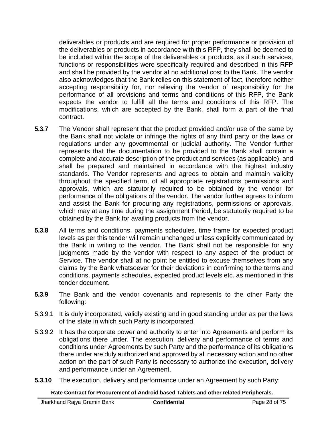deliverables or products and are required for proper performance or provision of the deliverables or products in accordance with this RFP, they shall be deemed to be included within the scope of the deliverables or products, as if such services, functions or responsibilities were specifically required and described in this RFP and shall be provided by the vendor at no additional cost to the Bank. The vendor also acknowledges that the Bank relies on this statement of fact, therefore neither accepting responsibility for, nor relieving the vendor of responsibility for the performance of all provisions and terms and conditions of this RFP, the Bank expects the vendor to fulfill all the terms and conditions of this RFP. The modifications, which are accepted by the Bank, shall form a part of the final contract.

- **5.3.7** The Vendor shall represent that the product provided and/or use of the same by the Bank shall not violate or infringe the rights of any third party or the laws or regulations under any governmental or judicial authority. The Vendor further represents that the documentation to be provided to the Bank shall contain a complete and accurate description of the product and services (as applicable), and shall be prepared and maintained in accordance with the highest industry standards. The Vendor represents and agrees to obtain and maintain validity throughout the specified term, of all appropriate registrations permissions and approvals, which are statutorily required to be obtained by the vendor for performance of the obligations of the vendor. The vendor further agrees to inform and assist the Bank for procuring any registrations, permissions or approvals, which may at any time during the assignment Period, be statutorily required to be obtained by the Bank for availing products from the vendor.
- **5.3.8** All terms and conditions, payments schedules, time frame for expected product levels as per this tender will remain unchanged unless explicitly communicated by the Bank in writing to the vendor. The Bank shall not be responsible for any judgments made by the vendor with respect to any aspect of the product or Service. The vendor shall at no point be entitled to excuse themselves from any claims by the Bank whatsoever for their deviations in confirming to the terms and conditions, payments schedules, expected product levels etc. as mentioned in this tender document.
- **5.3.9** The Bank and the vendor covenants and represents to the other Party the following:
- 5.3.9.1 It is duly incorporated, validly existing and in good standing under as per the laws of the state in which such Party is incorporated.
- 5.3.9.2 It has the corporate power and authority to enter into Agreements and perform its obligations there under. The execution, delivery and performance of terms and conditions under Agreements by such Party and the performance of its obligations there under are duly authorized and approved by all necessary action and no other action on the part of such Party is necessary to authorize the execution, delivery and performance under an Agreement.
- **5.3.10** The execution, delivery and performance under an Agreement by such Party: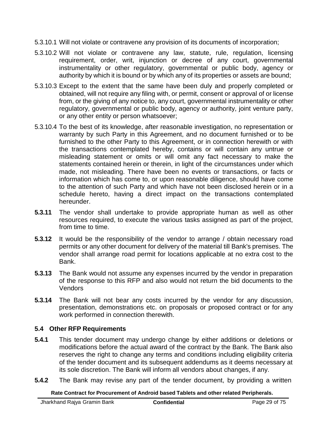- 5.3.10.1 Will not violate or contravene any provision of its documents of incorporation;
- 5.3.10.2 Will not violate or contravene any law, statute, rule, regulation, licensing requirement, order, writ, injunction or decree of any court, governmental instrumentality or other regulatory, governmental or public body, agency or authority by which it is bound or by which any of its properties or assets are bound;
- 5.3.10.3 Except to the extent that the same have been duly and properly completed or obtained, will not require any filing with, or permit, consent or approval of or license from, or the giving of any notice to, any court, governmental instrumentality or other regulatory, governmental or public body, agency or authority, joint venture party, or any other entity or person whatsoever;
- 5.3.10.4 To the best of its knowledge, after reasonable investigation, no representation or warranty by such Party in this Agreement, and no document furnished or to be furnished to the other Party to this Agreement, or in connection herewith or with the transactions contemplated hereby, contains or will contain any untrue or misleading statement or omits or will omit any fact necessary to make the statements contained herein or therein, in light of the circumstances under which made, not misleading. There have been no events or transactions, or facts or information which has come to, or upon reasonable diligence, should have come to the attention of such Party and which have not been disclosed herein or in a schedule hereto, having a direct impact on the transactions contemplated hereunder.
- **5.3.11** The vendor shall undertake to provide appropriate human as well as other resources required, to execute the various tasks assigned as part of the project, from time to time.
- **5.3.12** It would be the responsibility of the vendor to arrange / obtain necessary road permits or any other document for delivery of the material till Bank's premises. The vendor shall arrange road permit for locations applicable at no extra cost to the Bank.
- **5.3.13** The Bank would not assume any expenses incurred by the vendor in preparation of the response to this RFP and also would not return the bid documents to the **Vendors**
- **5.3.14** The Bank will not bear any costs incurred by the vendor for any discussion, presentation, demonstrations etc. on proposals or proposed contract or for any work performed in connection therewith.

#### <span id="page-29-0"></span>**5.4 Other RFP Requirements**

- **5.4.1** This tender document may undergo change by either additions or deletions or modifications before the actual award of the contract by the Bank. The Bank also reserves the right to change any terms and conditions including eligibility criteria of the tender document and its subsequent addendums as it deems necessary at its sole discretion. The Bank will inform all vendors about changes, if any.
- **5.4.2** The Bank may revise any part of the tender document, by providing a written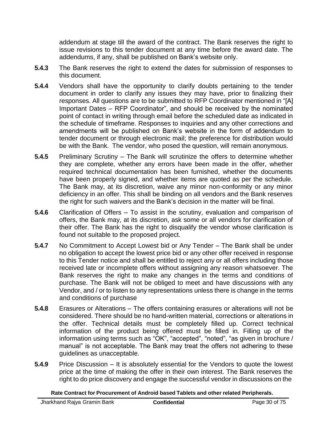addendum at stage till the award of the contract. The Bank reserves the right to issue revisions to this tender document at any time before the award date. The addendums, if any, shall be published on Bank's website only.

- **5.4.3** The Bank reserves the right to extend the dates for submission of responses to this document.
- **5.4.4** Vendors shall have the opportunity to clarify doubts pertaining to the tender document in order to clarify any issues they may have, prior to finalizing their responses. All questions are to be submitted to RFP Coordinator mentioned in "[A] Important Dates – RFP Coordinator", and should be received by the nominated point of contact in writing through email before the scheduled date as indicated in the schedule of timeframe. Responses to inquiries and any other corrections and amendments will be published on Bank's website in the form of addendum to tender document or through electronic mail; the preference for distribution would be with the Bank. The vendor, who posed the question, will remain anonymous.
- **5.4.5** Preliminary Scrutiny The Bank will scrutinize the offers to determine whether they are complete, whether any errors have been made in the offer, whether required technical documentation has been furnished, whether the documents have been properly signed, and whether items are quoted as per the schedule. The Bank may, at its discretion, waive any minor non-conformity or any minor deficiency in an offer. This shall be binding on all vendors and the Bank reserves the right for such waivers and the Bank's decision in the matter will be final.
- **5.4.6** Clarification of Offers To assist in the scrutiny, evaluation and comparison of offers, the Bank may, at its discretion, ask some or all vendors for clarification of their offer. The Bank has the right to disqualify the vendor whose clarification is found not suitable to the proposed project.
- **5.4.7** No Commitment to Accept Lowest bid or Any Tender The Bank shall be under no obligation to accept the lowest price bid or any other offer received in response to this Tender notice and shall be entitled to reject any or all offers including those received late or incomplete offers without assigning any reason whatsoever. The Bank reserves the right to make any changes in the terms and conditions of purchase. The Bank will not be obliged to meet and have discussions with any Vendor, and / or to listen to any representations unless there is change in the terms and conditions of purchase
- **5.4.8** Erasures or Alterations The offers containing erasures or alterations will not be considered. There should be no hand-written material, corrections or alterations in the offer. Technical details must be completely filled up. Correct technical information of the product being offered must be filled in. Filling up of the information using terms such as "OK", "accepted", "noted", "as given in brochure / manual" is not acceptable. The Bank may treat the offers not adhering to these guidelines as unacceptable.
- **5.4.9** Price Discussion It is absolutely essential for the Vendors to quote the lowest price at the time of making the offer in their own interest. The Bank reserves the right to do price discovery and engage the successful vendor in discussions on the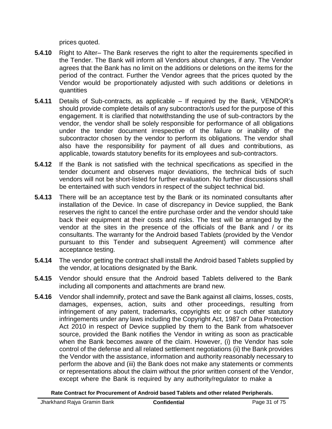prices quoted.

- **5.4.10** Right to Alter– The Bank reserves the right to alter the requirements specified in the Tender. The Bank will inform all Vendors about changes, if any. The Vendor agrees that the Bank has no limit on the additions or deletions on the items for the period of the contract. Further the Vendor agrees that the prices quoted by the Vendor would be proportionately adjusted with such additions or deletions in quantities
- **5.4.11** Details of Sub-contracts, as applicable If required by the Bank, VENDOR's should provide complete details of any subcontractor/s used for the purpose of this engagement. It is clarified that notwithstanding the use of sub-contractors by the vendor, the vendor shall be solely responsible for performance of all obligations under the tender document irrespective of the failure or inability of the subcontractor chosen by the vendor to perform its obligations. The vendor shall also have the responsibility for payment of all dues and contributions, as applicable, towards statutory benefits for its employees and sub-contractors.
- **5.4.12** If the Bank is not satisfied with the technical specifications as specified in the tender document and observes major deviations, the technical bids of such vendors will not be short-listed for further evaluation. No further discussions shall be entertained with such vendors in respect of the subject technical bid.
- **5.4.13** There will be an acceptance test by the Bank or its nominated consultants after installation of the Device. In case of discrepancy in Device supplied, the Bank reserves the right to cancel the entire purchase order and the vendor should take back their equipment at their costs and risks. The test will be arranged by the vendor at the sites in the presence of the officials of the Bank and / or its consultants. The warranty for the Android based Tablets (provided by the Vendor pursuant to this Tender and subsequent Agreement) will commence after acceptance testing.
- **5.4.14** The vendor getting the contract shall install the Android based Tablets supplied by the vendor, at locations designated by the Bank.
- **5.4.15** Vendor should ensure that the Android based Tablets delivered to the Bank including all components and attachments are brand new.
- **5.4.16** Vendor shall indemnify, protect and save the Bank against all claims, losses, costs, damages, expenses, action, suits and other proceedings, resulting from infringement of any patent, trademarks, copyrights etc or such other statutory infringements under any laws including the Copyright Act, 1987 or Data Protection Act 2010 in respect of Device supplied by them to the Bank from whatsoever source, provided the Bank notifies the Vendor in writing as soon as practicable when the Bank becomes aware of the claim. However, (i) the Vendor has sole control of the defense and all related settlement negotiations (ii) the Bank provides the Vendor with the assistance, information and authority reasonably necessary to perform the above and (iii) the Bank does not make any statements or comments or representations about the claim without the prior written consent of the Vendor, except where the Bank is required by any authority/regulator to make a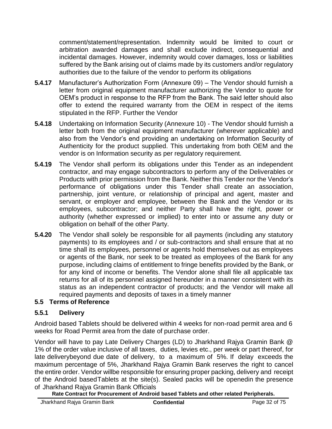comment/statement/representation. Indemnity would be limited to court or arbitration awarded damages and shall exclude indirect, consequential and incidental damages. However, indemnity would cover damages, loss or liabilities suffered by the Bank arising out of claims made by its customers and/or regulatory authorities due to the failure of the vendor to perform its obligations

- **5.4.17** Manufacturer's Authorization Form (Annexure 09) The Vendor should furnish a letter from original equipment manufacturer authorizing the Vendor to quote for OEM's product in response to the RFP from the Bank. The said letter should also offer to extend the required warranty from the OEM in respect of the items stipulated in the RFP. Further the Vendor
- **5.4.18** Undertaking on Information Security (Annexure 10) The Vendor should furnish a letter both from the original equipment manufacturer (wherever applicable) and also from the Vendor's end providing an undertaking on Information Security of Authenticity for the product supplied. This undertaking from both OEM and the vendor is on Information security as per regulatory requirement.
- **5.4.19** The Vendor shall perform its obligations under this Tender as an independent contractor, and may engage subcontractors to perform any of the Deliverables or Products with prior permission from the Bank. Neither this Tender nor the Vendor's performance of obligations under this Tender shall create an association, partnership, joint venture, or relationship of principal and agent, master and servant, or employer and employee, between the Bank and the Vendor or its employees, subcontractor; and neither Party shall have the right, power or authority (whether expressed or implied) to enter into or assume any duty or obligation on behalf of the other Party.
- **5.4.20** The Vendor shall solely be responsible for all payments (including any statutory payments) to its employees and / or sub-contractors and shall ensure that at no time shall its employees, personnel or agents hold themselves out as employees or agents of the Bank, nor seek to be treated as employees of the Bank for any purpose, including claims of entitlement to fringe benefits provided by the Bank, or for any kind of income or benefits. The Vendor alone shall file all applicable tax returns for all of its personnel assigned hereunder in a manner consistent with its status as an independent contractor of products; and the Vendor will make all required payments and deposits of taxes in a timely manner

### <span id="page-32-0"></span>**5.5 Terms of Reference**

#### **5.5.1 Delivery**

Android based Tablets should be delivered within 4 weeks for non-road permit area and 6 weeks for Road Permit area from the date of purchase order.

Vendor will have to pay Late Delivery Charges (LD) to Jharkhand Rajya Gramin Bank @ 1% of the order value inclusive of all taxes, duties, levies etc., per week or part thereof, for late deliverybeyond due date of delivery, to a maximum of 5%. If delay exceeds the maximum percentage of 5%, Jharkhand Rajya Gramin Bank reserves the right to cancel the entire order. Vendor willbe responsible for ensuring proper packing, delivery and receipt of the Android basedTablets at the site(s). Sealed packs will be openedin the presence of Jharkhand Rajya Gramin Bank Officials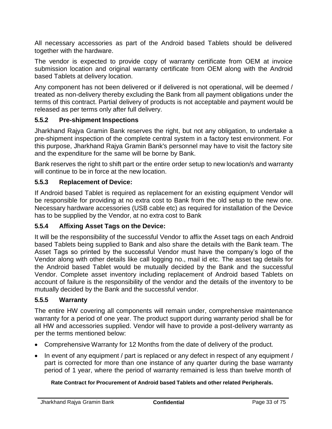All necessary accessories as part of the Android based Tablets should be delivered together with the hardware.

The vendor is expected to provide copy of warranty certificate from OEM at invoice submission location and original warranty certificate from OEM along with the Android based Tablets at delivery location.

Any component has not been delivered or if delivered is not operational, will be deemed / treated as non-delivery thereby excluding the Bank from all payment obligations under the terms of this contract. Partial delivery of products is not acceptable and payment would be released as per terms only after full delivery.

### **5.5.2 Pre-shipment Inspections**

Jharkhand Rajya Gramin Bank reserves the right, but not any obligation, to undertake a pre-shipment inspection of the complete central system in a factory test environment. For this purpose, Jharkhand Rajya Gramin Bank's personnel may have to visit the factory site and the expenditure for the same will be borne by Bank.

Bank reserves the right to shift part or the entire order setup to new location/s and warranty will continue to be in force at the new location.

#### **5.5.3 Replacement of Device:**

If Android based Tablet is required as replacement for an existing equipment Vendor will be responsible for providing at no extra cost to Bank from the old setup to the new one. Necessary hardware accessories (USB cable etc) as required for installation of the Device has to be supplied by the Vendor, at no extra cost to Bank

#### **5.5.4 Affixing Asset Tags on the Device:**

It will be the responsibility of the successful Vendor to affix the Asset tags on each Android based Tablets being supplied to Bank and also share the details with the Bank team. The Asset Tags so printed by the successful Vendor must have the company's logo of the Vendor along with other details like call logging no., mail id etc. The asset tag details for the Android based Tablet would be mutually decided by the Bank and the successful Vendor. Complete asset inventory including replacement of Android based Tablets on account of failure is the responsibility of the vendor and the details of the inventory to be mutually decided by the Bank and the successful vendor.

### **5.5.5 Warranty**

The entire HW covering all components will remain under, comprehensive maintenance warranty for a period of one year. The product support during warranty period shall be for all HW and accessories supplied. Vendor will have to provide a post-delivery warranty as per the terms mentioned below:

- Comprehensive Warranty for 12 Months from the date of delivery of the product.
- In event of any equipment / part is replaced or any defect in respect of any equipment / part is corrected for more than one instance of any quarter during the base warranty period of 1 year, where the period of warranty remained is less than twelve month of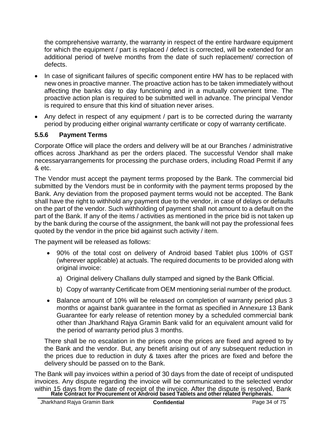the comprehensive warranty, the warranty in respect of the entire hardware equipment for which the equipment / part is replaced / defect is corrected, will be extended for an additional period of twelve months from the date of such replacement/ correction of defects.

- In case of significant failures of specific component entire HW has to be replaced with new ones in proactive manner. The proactive action has to be taken immediately without affecting the banks day to day functioning and in a mutually convenient time. The proactive action plan is required to be submitted well in advance. The principal Vendor is required to ensure that this kind of situation never arises.
- Any defect in respect of any equipment / part is to be corrected during the warranty period by producing either original warranty certificate or copy of warranty certificate.

### **5.5.6 Payment Terms**

Corporate Office will place the orders and delivery will be at our Branches / administrative offices across Jharkhand as per the orders placed. The successful Vendor shall make necessaryarrangements for processing the purchase orders, including Road Permit if any & etc.

The Vendor must accept the payment terms proposed by the Bank. The commercial bid submitted by the Vendors must be in conformity with the payment terms proposed by the Bank. Any deviation from the proposed payment terms would not be accepted. The Bank shall have the right to withhold any payment due to the vendor, in case of delays or defaults on the part of the vendor. Such withholding of payment shall not amount to a default on the part of the Bank. If any of the items / activities as mentioned in the price bid is not taken up by the bank during the course of the assignment, the bank will not pay the professional fees quoted by the vendor in the price bid against such activity / item.

The payment will be released as follows:

- 90% of the total cost on delivery of Android based Tablet plus 100% of GST (wherever applicable) at actuals. The required documents to be provided along with original invoice:
	- a) Original delivery Challans dully stamped and signed by the Bank Official.
	- b) Copy of warranty Certificate from OEM mentioning serial number of the product.
- Balance amount of 10% will be released on completion of warranty period plus 3 months or against bank guarantee in the format as specified in Annexure 13 Bank Guarantee for early release of retention money by a scheduled commercial bank other than Jharkhand Rajya Gramin Bank valid for an equivalent amount valid for the period of warranty period plus 3 months.

There shall be no escalation in the prices once the prices are fixed and agreed to by the Bank and the vendor. But, any benefit arising out of any subsequent reduction in the prices due to reduction in duty & taxes after the prices are fixed and before the delivery should be passed on to the Bank.

within 15 days from the date of receipt of the invoice. After the dispute is resolved, Bank<br>Rate Contract for Procurement of Android based Tablets and other related Peripherals. The Bank will pay invoices within a period of 30 days from the date of receipt of undisputed invoices. Any dispute regarding the invoice will be communicated to the selected vendor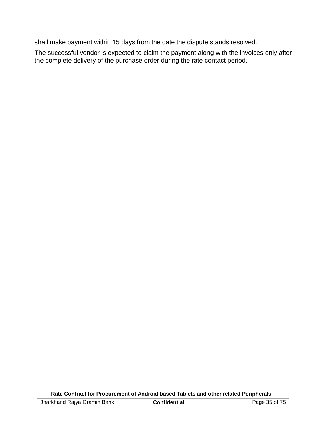shall make payment within 15 days from the date the dispute stands resolved.

The successful vendor is expected to claim the payment along with the invoices only after the complete delivery of the purchase order during the rate contact period.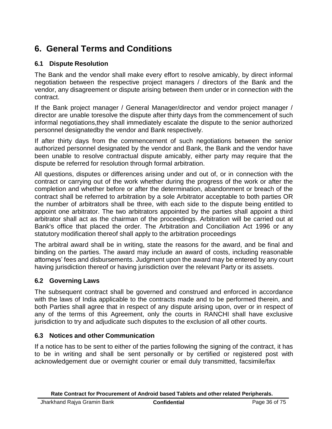# **6. General Terms and Conditions**

### **6.1 Dispute Resolution**

The Bank and the vendor shall make every effort to resolve amicably, by direct informal negotiation between the respective project managers / directors of the Bank and the vendor, any disagreement or dispute arising between them under or in connection with the contract.

If the Bank project manager / General Manager/director and vendor project manager / director are unable toresolve the dispute after thirty days from the commencement of such informal negotiations,they shall immediately escalate the dispute to the senior authorized personnel designatedby the vendor and Bank respectively.

If after thirty days from the commencement of such negotiations between the senior authorized personnel designated by the vendor and Bank, the Bank and the vendor have been unable to resolve contractual dispute amicably, either party may require that the dispute be referred for resolution through formal arbitration.

All questions, disputes or differences arising under and out of, or in connection with the contract or carrying out of the work whether during the progress of the work or after the completion and whether before or after the determination, abandonment or breach of the contract shall be referred to arbitration by a sole Arbitrator acceptable to both parties OR the number of arbitrators shall be three, with each side to the dispute being entitled to appoint one arbitrator. The two arbitrators appointed by the parties shall appoint a third arbitrator shall act as the chairman of the proceedings. Arbitration will be carried out at Bank's office that placed the order. The Arbitration and Conciliation Act 1996 or any statutory modification thereof shall apply to the arbitration proceedings

The arbitral award shall be in writing, state the reasons for the award, and be final and binding on the parties. The award may include an award of costs, including reasonable attorneys' fees and disbursements. Judgment upon the award may be entered by any court having jurisdiction thereof or having jurisdiction over the relevant Party or its assets.

## **6.2 Governing Laws**

The subsequent contract shall be governed and construed and enforced in accordance with the laws of India applicable to the contracts made and to be performed therein, and both Parties shall agree that in respect of any dispute arising upon, over or in respect of any of the terms of this Agreement, only the courts in RANCHI shall have exclusive jurisdiction to try and adjudicate such disputes to the exclusion of all other courts.

#### **6.3 Notices and other Communication**

If a notice has to be sent to either of the parties following the signing of the contract, it has to be in writing and shall be sent personally or by certified or registered post with acknowledgement due or overnight courier or email duly transmitted, facsimile/fax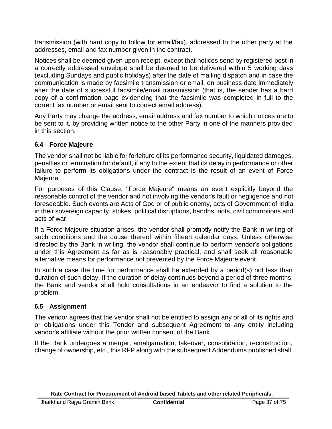transmission (with hard copy to follow for email/fax), addressed to the other party at the addresses, email and fax number given in the contract.

Notices shall be deemed given upon receipt, except that notices send by registered post in a correctly addressed envelope shall be deemed to be delivered within 5 working days (excluding Sundays and public holidays) after the date of mailing dispatch and in case the communication is made by facsimile transmission or email, on business date immediately after the date of successful facsimile/email transmission (that is, the sender has a hard copy of a confirmation page evidencing that the facsimile was completed in full to the correct fax number or email sent to correct email address).

Any Party may change the address, email address and fax number to which notices are to be sent to it, by providing written notice to the other Party in one of the manners provided in this section.

## **6.4 Force Majeure**

The vendor shall not be liable for forfeiture of its performance security, liquidated damages, penalties or termination for default, if any to the extent that its delay in performance or other failure to perform its obligations under the contract is the result of an event of Force Majeure.

For purposes of this Clause, "Force Majeure" means an event explicitly beyond the reasonable control of the vendor and not involving the vendor's fault or negligence and not foreseeable. Such events are Acts of God or of public enemy, acts of Government of India in their sovereign capacity, strikes, political disruptions, bandhs, riots, civil commotions and acts of war.

If a Force Majeure situation arises, the vendor shall promptly notify the Bank in writing of such conditions and the cause thereof within fifteen calendar days. Unless otherwise directed by the Bank in writing, the vendor shall continue to perform vendor's obligations under this Agreement as far as is reasonably practical, and shall seek all reasonable alternative means for performance not prevented by the Force Majeure event.

In such a case the time for performance shall be extended by a period(s) not less than duration of such delay. If the duration of delay continues beyond a period of three months, the Bank and vendor shall hold consultations in an endeavor to find a solution to the problem.

## **6.5 Assignment**

The vendor agrees that the vendor shall not be entitled to assign any or all of its rights and or obligations under this Tender and subsequent Agreement to any entity including vendor's affiliate without the prior written consent of the Bank.

If the Bank undergoes a merger, amalgamation, takeover, consolidation, reconstruction, change of ownership, etc., this RFP along with the subsequent Addendums published shall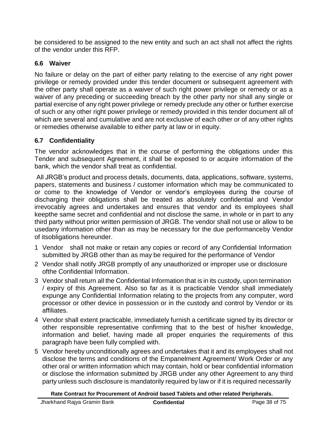be considered to be assigned to the new entity and such an act shall not affect the rights of the vendor under this RFP.

## **6.6 Waiver**

No failure or delay on the part of either party relating to the exercise of any right power privilege or remedy provided under this tender document or subsequent agreement with the other party shall operate as a waiver of such right power privilege or remedy or as a waiver of any preceding or succeeding breach by the other party nor shall any single or partial exercise of any right power privilege or remedy preclude any other or further exercise of such or any other right power privilege or remedy provided in this tender document all of which are several and cumulative and are not exclusive of each other or of any other rights or remedies otherwise available to either party at law or in equity.

## **6.7 Confidentiality**

The vendor acknowledges that in the course of performing the obligations under this Tender and subsequent Agreement, it shall be exposed to or acquire information of the bank, which the vendor shall treat as confidential.

All JRGB's product and process details, documents, data, applications, software, systems, papers, statements and business / customer information which may be communicated to or come to the knowledge of Vendor or vendor's employees during the course of discharging their obligations shall be treated as absolutely confidential and Vendor irrevocably agrees and undertakes and ensures that vendor and its employees shall keepthe same secret and confidential and not disclose the same, in whole or in part to any third party without prior written permission of JRGB. The vendor shall not use or allow to be usedany information other than as may be necessary for the due performanceby Vendor of itsobligations hereunder.

- 1 Vendor shall not make or retain any copies or record of any Confidential Information submitted by JRGB other than as may be required for the performance of Vendor
- 2 Vendor shall notify JRGB promptly of any unauthorized or improper use or disclosure ofthe Confidential Information.
- 3 Vendor shall return all the Confidential Information that is in its custody, upon termination / expiry of this Agreement. Also so far as it is practicable Vendor shall immediately expunge any Confidential Information relating to the projects from any computer, word processor or other device in possession or in the custody and control by Vendor or its affiliates.
- 4 Vendor shall extent practicable, immediately furnish a certificate signed by its director or other responsible representative confirming that to the best of his/her knowledge, information and belief, having made all proper enquiries the requirements of this paragraph have been fully complied with.
- 5 Vendor hereby unconditionally agrees and undertakes that it and its employees shall not disclose the terms and conditions of the Empanelment Agreement/ Work Order or any other oral or written information which may contain, hold or bear confidential information or disclose the information submitted by JRGB under any other Agreement to any third party unless such disclosure is mandatorily required by law or if it is required necessarily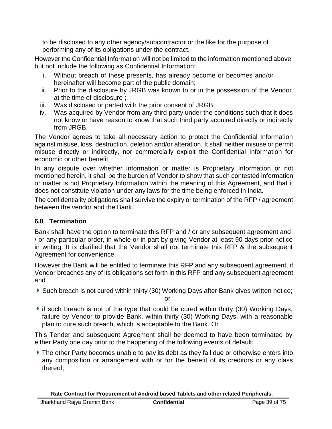to be disclosed to any other agency/subcontractor or the like for the purpose of performing any of its obligations under the contract.

However the Confidential Information will not be limited to the information mentioned above but not include the following as Confidential Information:

- i. Without breach of these presents, has already become or becomes and/or hereinafter will become part of the public domain;
- ii. Prior to the disclosure by JRGB was known to or in the possession of the Vendor at the time of disclosure ;
- iii. Was disclosed or parted with the prior consent of JRGB;
- iv. Was acquired by Vendor from any third party under the conditions such that it does not know or have reason to know that such third party acquired directly or indirectly from JRGB.

The Vendor agrees to take all necessary action to protect the Confidential Information against misuse, loss, destruction, deletion and/or alteration. It shall neither misuse or permit misuse directly or indirectly, nor commercially exploit the Confidential Information for economic or other benefit.

In any dispute over whether information or matter is Proprietary Information or not mentioned herein, it shall be the burden of Vendor to show that such contested information or matter is not Proprietary Information within the meaning of this Agreement, and that it does not constitute violation under any laws for the time being enforced in India.

The confidentiality obligations shall survive the expiry or termination of the RFP / agreement between the vendor and the Bank.

## **6.8 Termination**

Bank shall have the option to terminate this RFP and / or any subsequent agreement and / or any particular order, in whole or in part by giving Vendor at least 90 days prior notice in writing. It is clarified that the Vendor shall not terminate this RFP & the subsequent Agreement for convenience.

However the Bank will be entitled to terminate this RFP and any subsequent agreement, if Vendor breaches any of its obligations set forth in this RFP and any subsequent agreement and

Such breach is not cured within thirty (30) Working Days after Bank gives written notice;

or

 $\blacktriangleright$  if such breach is not of the type that could be cured within thirty (30) Working Days, failure by Vendor to provide Bank, within thirty (30) Working Days, with a reasonable plan to cure such breach, which is acceptable to the Bank. Or

This Tender and subsequent Agreement shall be deemed to have been terminated by either Party one day prior to the happening of the following events of default:

The other Party becomes unable to pay its debt as they fall due or otherwise enters into any composition or arrangement with or for the benefit of its creditors or any class thereof;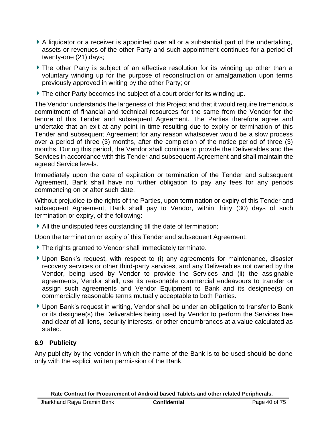- A liquidator or a receiver is appointed over all or a substantial part of the undertaking, assets or revenues of the other Party and such appointment continues for a period of twenty-one (21) days;
- The other Party is subject of an effective resolution for its winding up other than a voluntary winding up for the purpose of reconstruction or amalgamation upon terms previously approved in writing by the other Party; or
- ▶ The other Party becomes the subject of a court order for its winding up.

The Vendor understands the largeness of this Project and that it would require tremendous commitment of financial and technical resources for the same from the Vendor for the tenure of this Tender and subsequent Agreement. The Parties therefore agree and undertake that an exit at any point in time resulting due to expiry or termination of this Tender and subsequent Agreement for any reason whatsoever would be a slow process over a period of three (3) months, after the completion of the notice period of three (3) months. During this period, the Vendor shall continue to provide the Deliverables and the Services in accordance with this Tender and subsequent Agreement and shall maintain the agreed Service levels.

Immediately upon the date of expiration or termination of the Tender and subsequent Agreement, Bank shall have no further obligation to pay any fees for any periods commencing on or after such date.

Without prejudice to the rights of the Parties, upon termination or expiry of this Tender and subsequent Agreement, Bank shall pay to Vendor, within thirty (30) days of such termination or expiry, of the following:

All the undisputed fees outstanding till the date of termination;

Upon the termination or expiry of this Tender and subsequent Agreement:

- The rights granted to Vendor shall immediately terminate.
- Upon Bank's request, with respect to (i) any agreements for maintenance, disaster recovery services or other third-party services, and any Deliverables not owned by the Vendor, being used by Vendor to provide the Services and (ii) the assignable agreements, Vendor shall, use its reasonable commercial endeavours to transfer or assign such agreements and Vendor Equipment to Bank and its designee(s) on commercially reasonable terms mutually acceptable to both Parties.
- ▶ Upon Bank's request in writing, Vendor shall be under an obligation to transfer to Bank or its designee(s) the Deliverables being used by Vendor to perform the Services free and clear of all liens, security interests, or other encumbrances at a value calculated as stated.

#### **6.9 Publicity**

Any publicity by the vendor in which the name of the Bank is to be used should be done only with the explicit written permission of the Bank.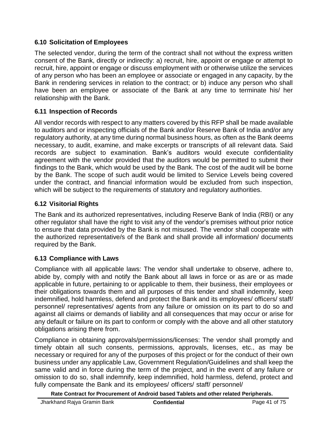### **6.10 Solicitation of Employees**

The selected vendor, during the term of the contract shall not without the express written consent of the Bank, directly or indirectly: a) recruit, hire, appoint or engage or attempt to recruit, hire, appoint or engage or discuss employment with or otherwise utilize the services of any person who has been an employee or associate or engaged in any capacity, by the Bank in rendering services in relation to the contract; or b) induce any person who shall have been an employee or associate of the Bank at any time to terminate his/ her relationship with the Bank.

## **6.11 Inspection of Records**

All vendor records with respect to any matters covered by this RFP shall be made available to auditors and or inspecting officials of the Bank and/or Reserve Bank of India and/or any regulatory authority, at any time during normal business hours, as often as the Bank deems necessary, to audit, examine, and make excerpts or transcripts of all relevant data. Said records are subject to examination. Bank's auditors would execute confidentiality agreement with the vendor provided that the auditors would be permitted to submit their findings to the Bank, which would be used by the Bank. The cost of the audit will be borne by the Bank. The scope of such audit would be limited to Service Levels being covered under the contract, and financial information would be excluded from such inspection, which will be subject to the requirements of statutory and regulatory authorities.

### **6.12 Visitorial Rights**

The Bank and its authorized representatives, including Reserve Bank of India (RBI) or any other regulator shall have the right to visit any of the vendor's premises without prior notice to ensure that data provided by the Bank is not misused. The vendor shall cooperate with the authorized representative/s of the Bank and shall provide all information/ documents required by the Bank.

## **6.13 Compliance with Laws**

Compliance with all applicable laws: The vendor shall undertake to observe, adhere to, abide by, comply with and notify the Bank about all laws in force or as are or as made applicable in future, pertaining to or applicable to them, their business, their employees or their obligations towards them and all purposes of this tender and shall indemnify, keep indemnified, hold harmless, defend and protect the Bank and its employees/ officers/ staff/ personnel/ representatives/ agents from any failure or omission on its part to do so and against all claims or demands of liability and all consequences that may occur or arise for any default or failure on its part to conform or comply with the above and all other statutory obligations arising there from.

Compliance in obtaining approvals/permissions/licenses: The vendor shall promptly and timely obtain all such consents, permissions, approvals, licenses, etc., as may be necessary or required for any of the purposes of this project or for the conduct of their own business under any applicable Law, Government Regulation/Guidelines and shall keep the same valid and in force during the term of the project, and in the event of any failure or omission to do so, shall indemnify, keep indemnified, hold harmless, defend, protect and fully compensate the Bank and its employees/ officers/ staff/ personnel/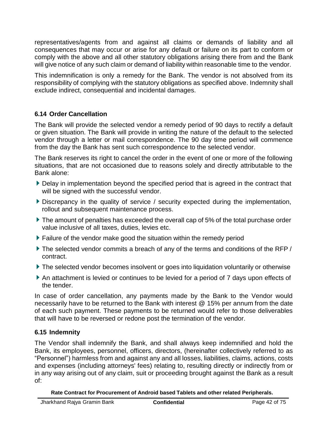representatives/agents from and against all claims or demands of liability and all consequences that may occur or arise for any default or failure on its part to conform or comply with the above and all other statutory obligations arising there from and the Bank will give notice of any such claim or demand of liability within reasonable time to the vendor.

This indemnification is only a remedy for the Bank. The vendor is not absolved from its responsibility of complying with the statutory obligations as specified above. Indemnity shall exclude indirect, consequential and incidental damages.

### **6.14 Order Cancellation**

The Bank will provide the selected vendor a remedy period of 90 days to rectify a default or given situation. The Bank will provide in writing the nature of the default to the selected vendor through a letter or mail correspondence. The 90 day time period will commence from the day the Bank has sent such correspondence to the selected vendor.

The Bank reserves its right to cancel the order in the event of one or more of the following situations, that are not occasioned due to reasons solely and directly attributable to the Bank alone:

- Delay in implementation beyond the specified period that is agreed in the contract that will be signed with the successful vendor.
- Discrepancy in the quality of service / security expected during the implementation, rollout and subsequent maintenance process.
- The amount of penalties has exceeded the overall cap of 5% of the total purchase order value inclusive of all taxes, duties, levies etc.
- Failure of the vendor make good the situation within the remedy period
- The selected vendor commits a breach of any of the terms and conditions of the RFP / contract.
- The selected vendor becomes insolvent or goes into liquidation voluntarily or otherwise
- An attachment is levied or continues to be levied for a period of 7 days upon effects of the tender.

In case of order cancellation, any payments made by the Bank to the Vendor would necessarily have to be returned to the Bank with interest @ 15% per annum from the date of each such payment. These payments to be returned would refer to those deliverables that will have to be reversed or redone post the termination of the vendor.

## **6.15 Indemnity**

The Vendor shall indemnify the Bank, and shall always keep indemnified and hold the Bank, its employees, personnel, officers, directors, (hereinafter collectively referred to as "Personnel") harmless from and against any and all losses, liabilities, claims, actions, costs and expenses (including attorneys' fees) relating to, resulting directly or indirectly from or in any way arising out of any claim, suit or proceeding brought against the Bank as a result of: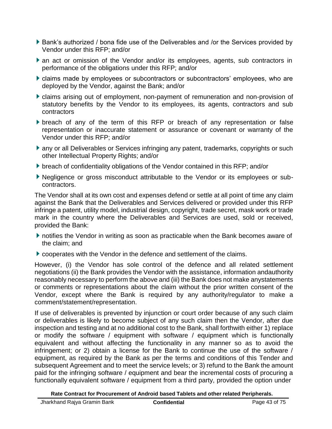- ▶ Bank's authorized / bona fide use of the Deliverables and /or the Services provided by Vendor under this RFP; and/or
- an act or omission of the Vendor and/or its employees, agents, sub contractors in performance of the obligations under this RFP; and/or
- claims made by employees or subcontractors or subcontractors' employees, who are deployed by the Vendor, against the Bank; and/or
- claims arising out of employment, non-payment of remuneration and non-provision of statutory benefits by the Vendor to its employees, its agents, contractors and sub contractors
- **bidem** breach of any of the term of this RFP or breach of any representation or false representation or inaccurate statement or assurance or covenant or warranty of the Vendor under this RFP; and/or
- any or all Deliverables or Services infringing any patent, trademarks, copyrights or such other Intellectual Property Rights; and/or
- **b** breach of confidentiality obligations of the Vendor contained in this RFP; and/or
- Negligence or gross misconduct attributable to the Vendor or its employees or subcontractors.

The Vendor shall at its own cost and expenses defend or settle at all point of time any claim against the Bank that the Deliverables and Services delivered or provided under this RFP infringe a patent, utility model, industrial design, copyright, trade secret, mask work or trade mark in the country where the Deliverables and Services are used, sold or received, provided the Bank:

- notifies the Vendor in writing as soon as practicable when the Bank becomes aware of the claim; and
- cooperates with the Vendor in the defence and settlement of the claims.

However, (i) the Vendor has sole control of the defence and all related settlement negotiations (ii) the Bank provides the Vendor with the assistance, information andauthority reasonably necessary to perform the above and (iii) the Bank does not make anystatements or comments or representations about the claim without the prior written consent of the Vendor, except where the Bank is required by any authority/regulator to make a comment/statement/representation.

If use of deliverables is prevented by injunction or court order because of any such claim or deliverables is likely to become subject of any such claim then the Vendor, after due inspection and testing and at no additional cost to the Bank, shall forthwith either 1) replace or modify the software / equipment with software / equipment which is functionally equivalent and without affecting the functionality in any manner so as to avoid the infringement; or 2) obtain a license for the Bank to continue the use of the software / equipment, as required by the Bank as per the terms and conditions of this Tender and subsequent Agreement and to meet the service levels; or 3) refund to the Bank the amount paid for the infringing software / equipment and bear the incremental costs of procuring a functionally equivalent software / equipment from a third party, provided the option under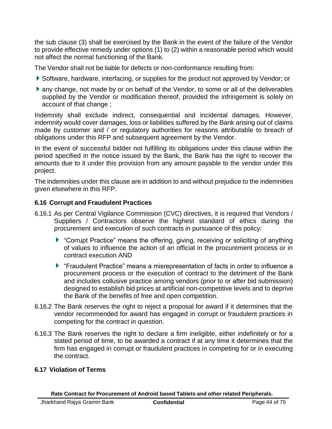the sub clause (3) shall be exercised by the Bank in the event of the failure of the Vendor to provide effective remedy under options (1) to (2) within a reasonable period which would not affect the normal functioning of the Bank.

The Vendor shall not be liable for defects or non-conformance resulting from:

- Software, hardware, interfacing, or supplies for the product not approved by Vendor; or
- any change, not made by or on behalf of the Vendor, to some or all of the deliverables supplied by the Vendor or modification thereof, provided the infringement is solely on account of that change ;

Indemnity shall exclude indirect, consequential and incidental damages. However, indemnity would cover damages, loss or liabilities suffered by the Bank arising out of claims made by customer and / or regulatory authorities for reasons attributable to breach of obligations under this RFP and subsequent agreement by the Vendor.

In the event of successful bidder not fulfilling its obligations under this clause within the period specified in the notice issued by the Bank, the Bank has the right to recover the amounts due to it under this provision from any amount payable to the vendor under this project.

The indemnities under this clause are in addition to and without prejudice to the indemnities given elsewhere in this RFP.

## **6.16 Corrupt and Fraudulent Practices**

- 6.16.1 As per Central Vigilance Commission (CVC) directives, it is required that Vendors / Suppliers / Contractors observe the highest standard of ethics during the procurement and execution of such contracts in pursuance of this policy:
	- "Corrupt Practice" means the offering, giving, receiving or soliciting of anything of values to influence the action of an official in the procurement process or in contract execution AND
	- "Fraudulent Practice" means a misrepresentation of facts in order to influence a procurement process or the execution of contract to the detriment of the Bank and includes collusive practice among vendors (prior to or after bid submission) designed to establish bid prices at artificial non-competitive levels and to deprive the Bank of the benefits of free and open competition.
- 6.16.2 The Bank reserves the right to reject a proposal for award if it determines that the vendor recommended for award has engaged in corrupt or fraudulent practices in competing for the contract in question.
- 6.16.3 The Bank reserves the right to declare a firm ineligible, either indefinitely or for a stated period of time, to be awarded a contract if at any time it determines that the firm has engaged in corrupt or fraudulent practices in competing for or in executing the contract.

## **6.17 Violation of Terms**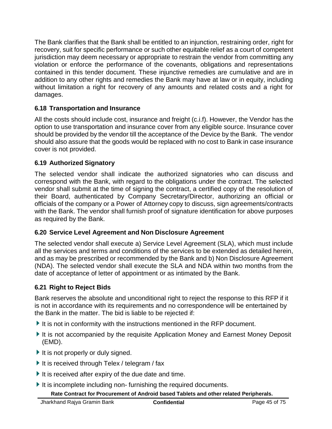The Bank clarifies that the Bank shall be entitled to an injunction, restraining order, right for recovery, suit for specific performance or such other equitable relief as a court of competent jurisdiction may deem necessary or appropriate to restrain the vendor from committing any violation or enforce the performance of the covenants, obligations and representations contained in this tender document. These injunctive remedies are cumulative and are in addition to any other rights and remedies the Bank may have at law or in equity, including without limitation a right for recovery of any amounts and related costs and a right for damages.

### **6.18 Transportation and Insurance**

All the costs should include cost, insurance and freight (c.i.f). However, the Vendor has the option to use transportation and insurance cover from any eligible source. Insurance cover should be provided by the vendor till the acceptance of the Device by the Bank. The vendor should also assure that the goods would be replaced with no cost to Bank in case insurance cover is not provided.

### **6.19 Authorized Signatory**

The selected vendor shall indicate the authorized signatories who can discuss and correspond with the Bank, with regard to the obligations under the contract. The selected vendor shall submit at the time of signing the contract, a certified copy of the resolution of their Board, authenticated by Company Secretary/Director, authorizing an official or officials of the company or a Power of Attorney copy to discuss, sign agreements/contracts with the Bank. The vendor shall furnish proof of signature identification for above purposes as required by the Bank.

#### **6.20 Service Level Agreement and Non Disclosure Agreement**

The selected vendor shall execute a) Service Level Agreement (SLA), which must include all the services and terms and conditions of the services to be extended as detailed herein, and as may be prescribed or recommended by the Bank and b) Non Disclosure Agreement (NDA). The selected vendor shall execute the SLA and NDA within two months from the date of acceptance of letter of appointment or as intimated by the Bank.

## **6.21 Right to Reject Bids**

Bank reserves the absolute and unconditional right to reject the response to this RFP if it is not in accordance with its requirements and no correspondence will be entertained by the Bank in the matter. The bid is liable to be rejected if:

- It is not in conformity with the instructions mentioned in the RFP document.
- It is not accompanied by the requisite Application Money and Earnest Money Deposit (EMD).
- It is not properly or duly signed.
- It is received through Telex / telegram / fax
- It is received after expiry of the due date and time.
- It is incomplete including non-furnishing the required documents.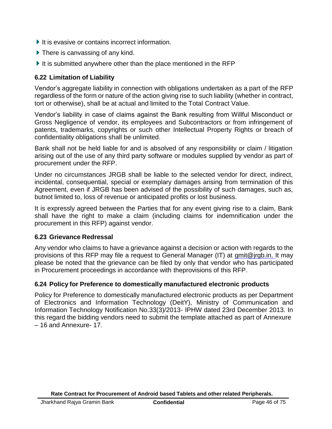- It is evasive or contains incorrect information.
- ▶ There is canvassing of any kind.
- It is submitted anywhere other than the place mentioned in the RFP

#### **6.22 Limitation of Liability**

Vendor's aggregate liability in connection with obligations undertaken as a part of the RFP regardless of the form or nature of the action giving rise to such liability (whether in contract, tort or otherwise), shall be at actual and limited to the Total Contract Value.

Vendor's liability in case of claims against the Bank resulting from Willful Misconduct or Gross Negligence of vendor, its employees and Subcontractors or from infringement of patents, trademarks, copyrights or such other Intellectual Property Rights or breach of confidentiality obligations shall be unlimited.

Bank shall not be held liable for and is absolved of any responsibility or claim / litigation arising out of the use of any third party software or modules supplied by vendor as part of procurement under the RFP.

Under no circumstances JRGB shall be liable to the selected vendor for direct, indirect, incidental, consequential, special or exemplary damages arising from termination of this Agreement, even if JRGB has been advised of the possibility of such damages, such as, butnot limited to, loss of revenue or anticipated profits or lost business.

It is expressly agreed between the Parties that for any event giving rise to a claim, Bank shall have the right to make a claim (including claims for indemnification under the procurement in this RFP) against vendor.

#### **6.23 Grievance Redressal**

Any vendor who claims to have a grievance against a decision or action with regards to the provisions of this RFP may file a request to General Manager (IT) at [gmit@jrgb.in. I](mailto:gmit@jrgb.in)t may please be noted that the grievance can be filed by only that vendor who has participated in Procurement proceedings in accordance with theprovisions of this RFP.

#### **6.24 Policy for Preference to domestically manufactured electronic products**

Policy for Preference to domestically manufactured electronic products as per Department of Electronics and Information Technology (DeitY), Ministry of Communication and Information Technology Notification No.33(3)/2013- IPHW dated 23rd December 2013. In this regard the bidding vendors need to submit the template attached as part of Annexure – 16 and Annexure- 17.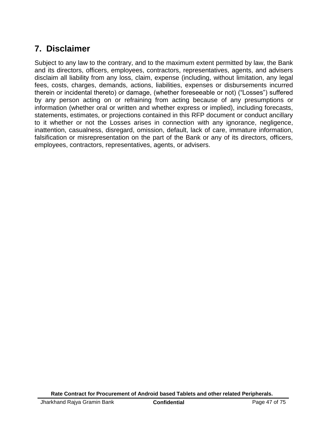## **7. Disclaimer**

Subject to any law to the contrary, and to the maximum extent permitted by law, the Bank and its directors, officers, employees, contractors, representatives, agents, and advisers disclaim all liability from any loss, claim, expense (including, without limitation, any legal fees, costs, charges, demands, actions, liabilities, expenses or disbursements incurred therein or incidental thereto) or damage, (whether foreseeable or not) ("Losses") suffered by any person acting on or refraining from acting because of any presumptions or information (whether oral or written and whether express or implied), including forecasts, statements, estimates, or projections contained in this RFP document or conduct ancillary to it whether or not the Losses arises in connection with any ignorance, negligence, inattention, casualness, disregard, omission, default, lack of care, immature information, falsification or misrepresentation on the part of the Bank or any of its directors, officers, employees, contractors, representatives, agents, or advisers.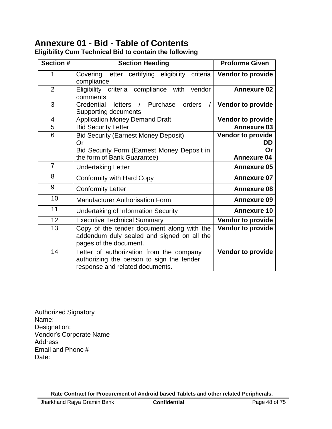# **Annexure 01 - Bid - Table of Contents**

| Section #      | <b>Section Heading</b>                                                                                                   | <b>Proforma Given</b>           |
|----------------|--------------------------------------------------------------------------------------------------------------------------|---------------------------------|
| 1              | Covering letter certifying eligibility criteria<br>compliance                                                            | Vendor to provide               |
| $\overline{2}$ | Eligibility criteria compliance with<br>vendor<br>comments                                                               | <b>Annexure 02</b>              |
| 3              | Credential<br>Purchase<br><b>letters</b><br>orders<br>$\sqrt{ }$<br>7<br><b>Supporting documents</b>                     | <b>Vendor to provide</b>        |
| $\overline{4}$ | <b>Application Money Demand Draft</b>                                                                                    | <b>Vendor to provide</b>        |
| $\overline{5}$ | <b>Bid Security Letter</b>                                                                                               | <b>Annexure 03</b>              |
| 6              | <b>Bid Security (Earnest Money Deposit)</b><br>Or                                                                        | <b>Vendor to provide</b><br>DD. |
|                | Bid Security Form (Earnest Money Deposit in                                                                              | Or                              |
|                | the form of Bank Guarantee)                                                                                              | <b>Annexure 04</b>              |
| $\overline{7}$ | <b>Undertaking Letter</b>                                                                                                | <b>Annexure 05</b>              |
| 8              | Conformity with Hard Copy                                                                                                | <b>Annexure 07</b>              |
| 9              | <b>Conformity Letter</b>                                                                                                 | <b>Annexure 08</b>              |
| 10             | <b>Manufacturer Authorisation Form</b>                                                                                   | <b>Annexure 09</b>              |
| 11             | <b>Undertaking of Information Security</b>                                                                               | <b>Annexure 10</b>              |
| 12             | <b>Executive Technical Summary</b>                                                                                       | Vendor to provide               |
| 13             | Copy of the tender document along with the<br>addendum duly sealed and signed on all the<br>pages of the document.       | <b>Vendor to provide</b>        |
| 14             | Letter of authorization from the company<br>authorizing the person to sign the tender<br>response and related documents. | <b>Vendor to provide</b>        |

**Eligibility Cum Technical Bid to contain the following**

Authorized Signatory Name: Designation: Vendor's Corporate Name Address Email and Phone # Date: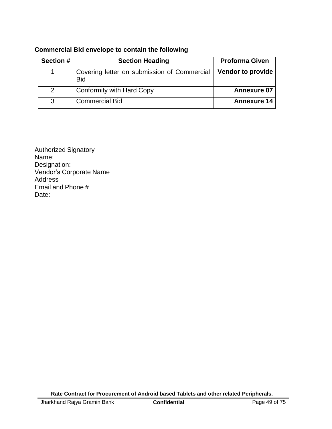| <b>Section #</b> | <b>Section Heading</b>                                    | <b>Proforma Given</b>    |
|------------------|-----------------------------------------------------------|--------------------------|
|                  | Covering letter on submission of Commercial<br><b>Bid</b> | <b>Vendor to provide</b> |
| $\overline{2}$   | Conformity with Hard Copy                                 | <b>Annexure 07</b>       |
| 3                | <b>Commercial Bid</b>                                     | <b>Annexure 14</b>       |

### **Commercial Bid envelope to contain the following**

Authorized Signatory Name: Designation: Vendor's Corporate Name Address Email and Phone # Date: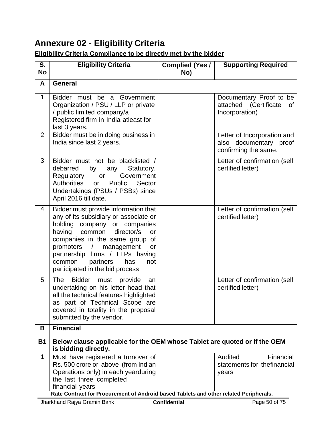# **Annexure 02 - Eligibility Criteria**

## **Eligibility Criteria Compliance to be directly met by the bidder**

| S.<br><b>No</b> | <b>Eligibility Criteria</b>                                                                                                                                                                                                                                                                                                                         | <b>Complied (Yes /</b><br>No) | <b>Supporting Required</b>                                                    |  |  |  |
|-----------------|-----------------------------------------------------------------------------------------------------------------------------------------------------------------------------------------------------------------------------------------------------------------------------------------------------------------------------------------------------|-------------------------------|-------------------------------------------------------------------------------|--|--|--|
| A               | <b>General</b>                                                                                                                                                                                                                                                                                                                                      |                               |                                                                               |  |  |  |
| 1               | Bidder must be a<br>Government<br>Organization / PSU / LLP or private<br>/ public limited company/a<br>Registered firm in India atleast for<br>last 3 years.                                                                                                                                                                                        |                               | Documentary Proof to be<br>attached (Certificate<br>0f<br>Incorporation)      |  |  |  |
| $\overline{2}$  | Bidder must be in doing business in<br>India since last 2 years.                                                                                                                                                                                                                                                                                    |                               | Letter of Incorporation and<br>also documentary proof<br>confirming the same. |  |  |  |
| 3               | Bidder must not be blacklisted /<br>by<br>Statutory,<br>debarred<br>any<br>Government<br>Regulatory<br>or<br>Authorities<br>Public<br>Sector<br><b>or</b><br>Undertakings (PSUs / PSBs) since<br>April 2016 till date.                                                                                                                              |                               | Letter of confirmation (self<br>certified letter)                             |  |  |  |
| 4               | Bidder must provide information that<br>any of its subsidiary or associate or<br>holding company or companies<br>director/s<br>having<br>common<br>or<br>companies in the same group<br>of<br>promoters<br>$\sqrt{ }$<br>management<br>or<br>partnership firms / LLPs having<br>common<br>partners<br>has<br>not<br>participated in the bid process |                               | Letter of confirmation (self<br>certified letter)                             |  |  |  |
| 5               | The<br><b>Bidder</b><br>must<br>provide<br>an<br>undertaking on his letter head that<br>all the technical features highlighted<br>as part of Technical Scope are<br>covered in totality in the proposal<br>submitted by the vendor.                                                                                                                 |                               | Letter of confirmation (self<br>certified letter)                             |  |  |  |
| В               | <b>Financial</b>                                                                                                                                                                                                                                                                                                                                    |                               |                                                                               |  |  |  |
| <b>B1</b>       | Below clause applicable for the OEM whose Tablet are quoted or if the OEM<br>is bidding directly.                                                                                                                                                                                                                                                   |                               |                                                                               |  |  |  |
| $\mathbf 1$     | Must have registered a turnover of<br>Rs. 500 crore or above (from Indian<br>Operations only) in each yearduring<br>the last three completed<br>financial years<br>Rate Contract for Procurement of Android based Tablets and other related Peripherals.                                                                                            |                               | Audited<br>Financial<br>statements for thefinancial<br>years                  |  |  |  |
|                 | Jharkhand Rajya Gramin Bank                                                                                                                                                                                                                                                                                                                         | <b>Confidential</b>           | Page 50 of 75                                                                 |  |  |  |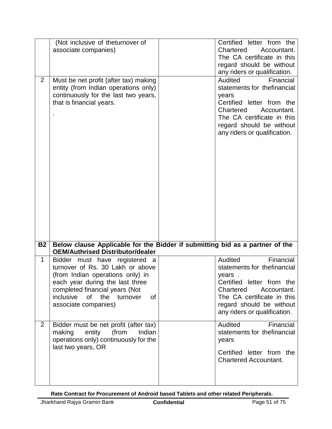|                | (Not inclusive of theturnover of<br>associate companies)                                                                                                                                                                                           | Certified letter from the<br>Chartered<br>Accountant.<br>The CA certificate in this<br>regard should be without<br>any riders or qualification.                                                                  |
|----------------|----------------------------------------------------------------------------------------------------------------------------------------------------------------------------------------------------------------------------------------------------|------------------------------------------------------------------------------------------------------------------------------------------------------------------------------------------------------------------|
| $\overline{2}$ | Must be net profit (after tax) making<br>entity (from Indian operations only)<br>continuously for the last two years,<br>that is financial years.                                                                                                  | Financial<br>Audited<br>statements for thefinancial<br>years<br>Certified letter from the<br>Chartered<br>Accountant.<br>The CA certificate in this<br>regard should be without<br>any riders or qualification.  |
| <b>B2</b>      | Below clause Applicable for the Bidder if submitting bid as a partner of the<br><b>OEM/Authrised Distributor/dealer</b>                                                                                                                            |                                                                                                                                                                                                                  |
| $\mathbf 1$    | Bidder must have registered a<br>turnover of Rs. 30 Lakh or above<br>(from Indian operations only) in<br>each year during the last three<br>completed financial years (Not<br>inclusive<br>the turnover<br>of<br><b>of</b><br>associate companies) | Audited<br>Financial<br>statements for thefinancial<br>years.<br>Certified letter from the<br>Chartered<br>Accountant.<br>The CA certificate in this<br>regard should be without<br>any riders or qualification. |
| $\overline{2}$ | Bidder must be net profit (after tax)<br>(from<br>making<br>entity<br>Indian<br>operations only) continuously for the<br>last two years, OR                                                                                                        | Financial<br>Audited<br>statements for thefinancial<br>years<br>Certified letter from the<br><b>Chartered Accountant.</b>                                                                                        |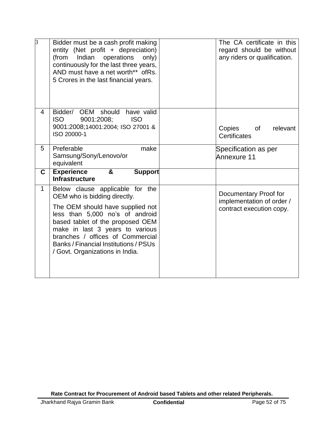| 3            | Bidder must be a cash profit making<br>entity (Net profit + depreciation)<br>Indian<br>operations<br>(from<br>only)<br>continuously for the last three years,<br>AND must have a net worth** ofRs.<br>5 Crores in the last financial years.                                                                                   | The CA certificate in this<br>regard should be without<br>any riders or qualification. |
|--------------|-------------------------------------------------------------------------------------------------------------------------------------------------------------------------------------------------------------------------------------------------------------------------------------------------------------------------------|----------------------------------------------------------------------------------------|
| 4            | OEM should<br>Bidder/<br>have valid<br><b>ISO</b><br><b>ISO</b><br>9001:2008;<br>9001:2008;14001:2004; ISO 27001 &<br>ISO 20000-1                                                                                                                                                                                             | Copies<br>relevant<br><b>of</b><br>Certificates                                        |
| 5            | Preferable<br>make<br>Samsung/Sony/Lenovo/or<br>equivalent                                                                                                                                                                                                                                                                    | Specification as per<br>Annexure 11                                                    |
| C.           | <b>Experience</b><br>&<br><b>Support</b><br><b>Infrastructure</b>                                                                                                                                                                                                                                                             |                                                                                        |
| $\mathbf{1}$ | Below clause applicable for the<br>OEM who is bidding directly.<br>The OEM should have supplied not<br>less than 5,000 no's of android<br>based tablet of the proposed OEM<br>make in last 3 years to various<br>branches / offices of Commercial<br>Banks / Financial Institutions / PSUs<br>/ Govt. Organizations in India. | Documentary Proof for<br>implementation of order /<br>contract execution copy.         |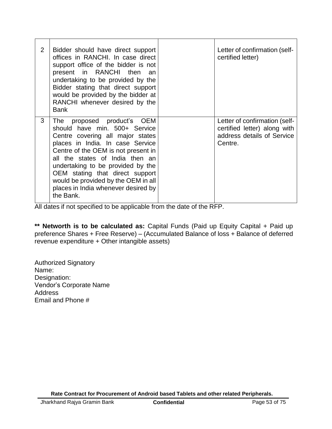| 2 | Bidder should have direct support<br>offices in RANCHI. In case direct<br>support office of the bidder is not<br>present in RANCHI then<br>an<br>undertaking to be provided by the<br>Bidder stating that direct support<br>would be provided by the bidder at<br>RANCHI whenever desired by the<br><b>Bank</b>                                                                  | Letter of confirmation (self-<br>certified letter)                                                     |
|---|----------------------------------------------------------------------------------------------------------------------------------------------------------------------------------------------------------------------------------------------------------------------------------------------------------------------------------------------------------------------------------|--------------------------------------------------------------------------------------------------------|
| 3 | The proposed product's OEM<br>should have min. 500+ Service<br>Centre covering all major states<br>places in India. In case Service<br>Centre of the OEM is not present in<br>all the states of India then an<br>undertaking to be provided by the<br>OEM stating that direct support<br>would be provided by the OEM in all<br>places in India whenever desired by<br>the Bank. | Letter of confirmation (self-<br>certified letter) along with<br>address details of Service<br>Centre. |

All dates if not specified to be applicable from the date of the RFP.

**\*\* Networth is to be calculated as:** Capital Funds (Paid up Equity Capital + Paid up preference Shares + Free Reserve) – (Accumulated Balance of loss + Balance of deferred revenue expenditure + Other intangible assets)

Authorized Signatory Name: Designation: Vendor's Corporate Name **Address** Email and Phone #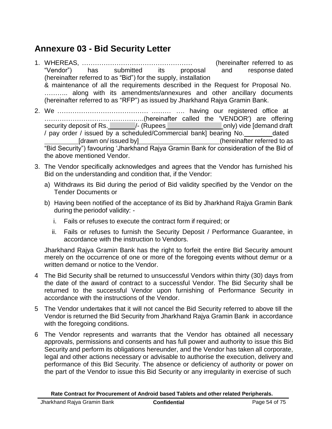## **Annexure 03 - Bid Security Letter**

- 1. WHEREAS, …………………………………………… (hereinafter referred to as "Vendor") has submitted its proposal and response dated (hereinafter referred to as "Bid") for the supply, installation & maintenance of all the requirements described in the Request for Proposal No. ……….. along with its amendments/annexures and other ancillary documents (hereinafter referred to as "RFP") as issued by Jharkhand Rajya Gramin Bank.
- 2. We …………………………………… ……… …. having our registered office at ……………………………………….(hereinafter called the 'VENDOR') are offering security deposit of Rs.  $\sqrt{2}$  /- (Rupees conly) vide [demand draft] / pay order / issued by a scheduled/Commercial bank] bearing No. \_\_\_\_\_\_\_\_dated [drawn on/ issued by] (hereinafter referred to as "Bid Security") favouring 'Jharkhand Rajya Gramin Bank for consideration of the Bid of the above mentioned Vendor.
- 3. The Vendor specifically acknowledges and agrees that the Vendor has furnished his Bid on the understanding and condition that, if the Vendor:
	- a) Withdraws its Bid during the period of Bid validity specified by the Vendor on the Tender Documents or
	- b) Having been notified of the acceptance of its Bid by Jharkhand Rajya Gramin Bank during the periodof validity:
		- i. Fails or refuses to execute the contract form if required; or
		- ii. Fails or refuses to furnish the Security Deposit / Performance Guarantee, in accordance with the instruction to Vendors.

Jharkhand Rajya Gramin Bank has the right to forfeit the entire Bid Security amount merely on the occurrence of one or more of the foregoing events without demur or a written demand or notice to the Vendor.

- 4 The Bid Security shall be returned to unsuccessful Vendors within thirty (30) days from the date of the award of contract to a successful Vendor. The Bid Security shall be returned to the successful Vendor upon furnishing of Performance Security in accordance with the instructions of the Vendor.
- 5 The Vendor undertakes that it will not cancel the Bid Security referred to above till the Vendor is returned the Bid Security from Jharkhand Rajya Gramin Bank in accordance with the foregoing conditions.
- 6 The Vendor represents and warrants that the Vendor has obtained all necessary approvals, permissions and consents and has full power and authority to issue this Bid Security and perform its obligations hereunder, and the Vendor has taken all corporate, legal and other actions necessary or advisable to authorise the execution, delivery and performance of this Bid Security. The absence or deficiency of authority or power on the part of the Vendor to issue this Bid Security or any irregularity in exercise of such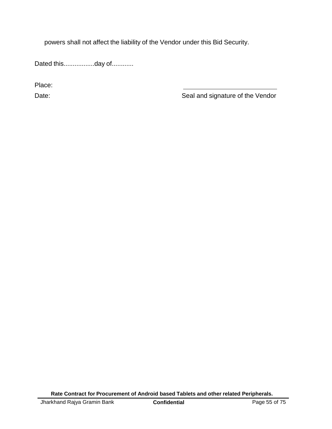powers shall not affect the liability of the Vendor under this Bid Security.

Dated this.................day of............

Place:

Date: Date: Seal and signature of the Vendor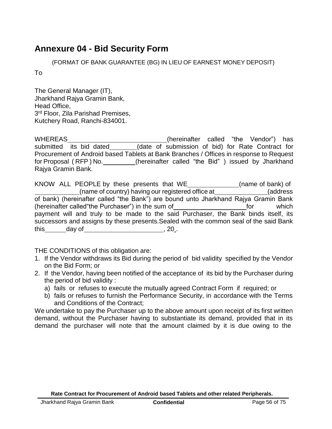## **Annexure 04 - Bid Security Form**

(FORMAT OF BANK GUARANTEE (BG) IN LIEU OF EARNEST MONEY DEPOSIT)

To

The General Manager (IT), Jharkhand Rajya Gramin Bank, Head Office, 3<sup>rd</sup> Floor, Zila Parishad Premises, Kutchery Road, Ranchi-834001.

WHEREAS\_\_\_\_\_\_\_\_\_\_\_\_\_\_\_\_\_\_\_\_\_\_\_\_\_\_\_\_(hereinafter called "the Vendor") has submitted its bid dated\_\_\_\_\_\_\_\_(date of submission of bid) for Rate Contract for Procurement of Android based Tablets at Bank Branches / Offices in response to Request for Proposal (RFP) No. \_\_\_\_\_\_\_\_(hereinafter called "the Bid") issued by Jharkhand Rajya Gramin Bank.

KNOW ALL PEOPLE by these presents that WE\_\_\_\_\_\_\_\_\_\_\_\_\_\_(name of bank) of (name of country) having our registered office at (address of bank) (hereinafter called "the Bank") are bound unto Jharkhand Rajya Gramin Bank (hereinafter called "the Purchaser") in the sum of for the sum of for which payment will and truly to be made to the said Purchaser, the Bank binds itself, its successors and assigns by these presents.Sealed with the common seal of the said Bank  $this$  day of  $\qquad \qquad .20$ .

THE CONDITIONS of this obligation are:

- 1. If the Vendor withdraws its Bid during the period of bid validity specified by the Vendor on the Bid Form; or
- 2. If the Vendor, having been notified of the acceptance of its bid by the Purchaser during the period of bid validity :
	- a) fails or refuses to execute the mutually agreed Contract Form if required; or
	- b) fails or refuses to furnish the Performance Security, in accordance with the Terms and Conditions of the Contract;

We undertake to pay the Purchaser up to the above amount upon receipt of its first written demand, without the Purchaser having to substantiate its demand, provided that in its demand the purchaser will note that the amount claimed by it is due owing to the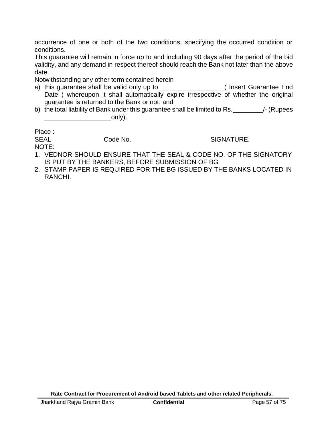occurrence of one or both of the two conditions, specifying the occurred condition or conditions.

This guarantee will remain in force up to and including 90 days after the period of the bid validity, and any demand in respect thereof should reach the Bank not later than the above date.

Notwithstanding any other term contained herein

- a) this guarantee shall be valid only up to \_\_\_\_\_\_\_\_\_\_\_\_\_\_\_\_\_\_\_( Insert Guarantee End Date ) whereupon it shall automatically expire irrespective of whether the original guarantee is returned to the Bank or not; and
- b) the total liability of Bank under this guarantee shall be limited to Rs.  $\blacksquare$ /- (Rupees only).

Place :

SEAL Code No. SIGNATURE.

NOTE:

- 1. VEDNOR SHOULD ENSURE THAT THE SEAL & CODE NO. OF THE SIGNATORY IS PUT BY THE BANKERS, BEFORE SUBMISSION OF BG
- 2. STAMP PAPER IS REQUIRED FOR THE BG ISSUED BY THE BANKS LOCATED IN RANCHI.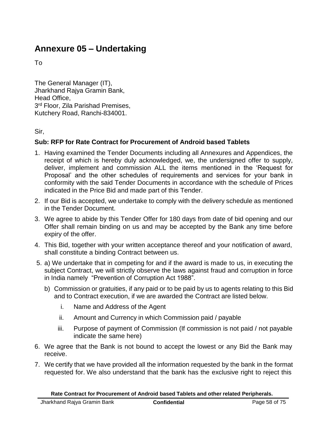# **Annexure 05 – Undertaking**

To

The General Manager (IT), Jharkhand Rajya Gramin Bank, Head Office, 3<sup>rd</sup> Floor, Zila Parishad Premises, Kutchery Road, Ranchi-834001.

Sir,

### **Sub: RFP for Rate Contract for Procurement of Android based Tablets**

- 1. Having examined the Tender Documents including all Annexures and Appendices, the receipt of which is hereby duly acknowledged, we, the undersigned offer to supply, deliver, implement and commission ALL the items mentioned in the 'Request for Proposal' and the other schedules of requirements and services for your bank in conformity with the said Tender Documents in accordance with the schedule of Prices indicated in the Price Bid and made part of this Tender.
- 2. If our Bid is accepted, we undertake to comply with the delivery schedule as mentioned in the Tender Document.
- 3. We agree to abide by this Tender Offer for 180 days from date of bid opening and our Offer shall remain binding on us and may be accepted by the Bank any time before expiry of the offer.
- 4. This Bid, together with your written acceptance thereof and your notification of award, shall constitute a binding Contract between us.
- 5. a) We undertake that in competing for and if the award is made to us, in executing the subject Contract, we will strictly observe the laws against fraud and corruption in force in India namely "Prevention of Corruption Act 1988".
	- b) Commission or gratuities, if any paid or to be paid by us to agents relating to this Bid and to Contract execution, if we are awarded the Contract are listed below.
		- i. Name and Address of the Agent
		- ii. Amount and Currency in which Commission paid / payable
		- iii. Purpose of payment of Commission (If commission is not paid / not payable indicate the same here)
- 6. We agree that the Bank is not bound to accept the lowest or any Bid the Bank may receive.
- 7. We certify that we have provided all the information requested by the bank in the format requested for. We also understand that the bank has the exclusive right to reject this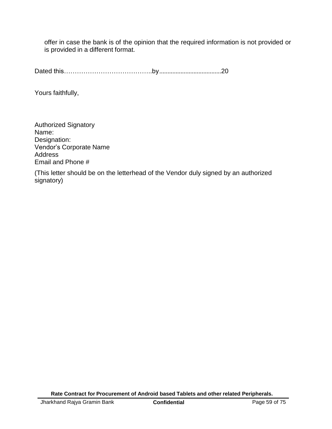offer in case the bank is of the opinion that the required information is not provided or is provided in a different format.

Dated this…………………………………..by......................................20

Yours faithfully,

Authorized Signatory Name: Designation: Vendor's Corporate Name **Address** Email and Phone #

(This letter should be on the letterhead of the Vendor duly signed by an authorized signatory)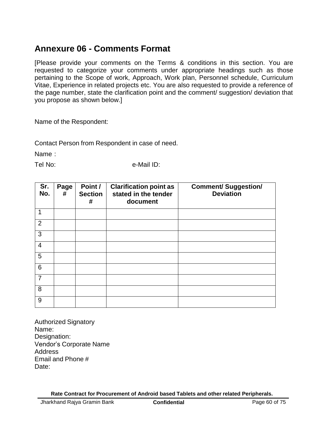## **Annexure 06 - Comments Format**

[Please provide your comments on the Terms & conditions in this section. You are requested to categorize your comments under appropriate headings such as those pertaining to the Scope of work, Approach, Work plan, Personnel schedule, Curriculum Vitae, Experience in related projects etc. You are also requested to provide a reference of the page number, state the clarification point and the comment/ suggestion/ deviation that you propose as shown below.]

Name of the Respondent:

Contact Person from Respondent in case of need.

Name :

Tel No: e-Mail ID:

| Sr.<br>No.      | Page<br># | Point /<br><b>Section</b><br># | <b>Clarification point as</b><br>stated in the tender<br>document | <b>Comment/ Suggestion/</b><br><b>Deviation</b> |
|-----------------|-----------|--------------------------------|-------------------------------------------------------------------|-------------------------------------------------|
| 1               |           |                                |                                                                   |                                                 |
| 2               |           |                                |                                                                   |                                                 |
| 3               |           |                                |                                                                   |                                                 |
| $\overline{4}$  |           |                                |                                                                   |                                                 |
| 5               |           |                                |                                                                   |                                                 |
| $6\phantom{1}6$ |           |                                |                                                                   |                                                 |
| $\overline{7}$  |           |                                |                                                                   |                                                 |
| 8               |           |                                |                                                                   |                                                 |
| 9               |           |                                |                                                                   |                                                 |

Authorized Signatory Name: Designation: Vendor's Corporate Name **Address** Email and Phone # Date: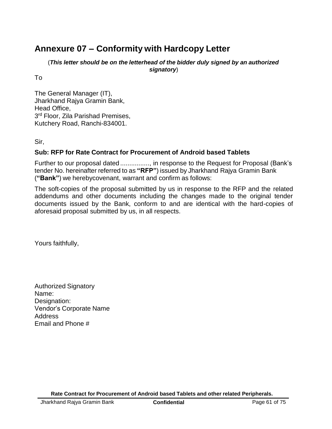## **Annexure 07 – Conformity with Hardcopy Letter**

(*This letter should be on the letterhead of the bidder duly signed by an authorized signatory*)

To

The General Manager (IT), Jharkhand Rajya Gramin Bank, Head Office, 3<sup>rd</sup> Floor, Zila Parishad Premises, Kutchery Road, Ranchi-834001.

Sir,

## **Sub: RFP for Rate Contract for Procurement of Android based Tablets**

Further to our proposal dated ................, in response to the Request for Proposal (Bank's tender No. hereinafter referred to as **"RFP"**) issued by Jharkhand Rajya Gramin Bank (**"Bank"**) we herebycovenant, warrant and confirm as follows:

The soft-copies of the proposal submitted by us in response to the RFP and the related addendums and other documents including the changes made to the original tender documents issued by the Bank, conform to and are identical with the hard-copies of aforesaid proposal submitted by us, in all respects.

Yours faithfully,

Authorized Signatory Name: Designation: Vendor's Corporate Name Address Email and Phone #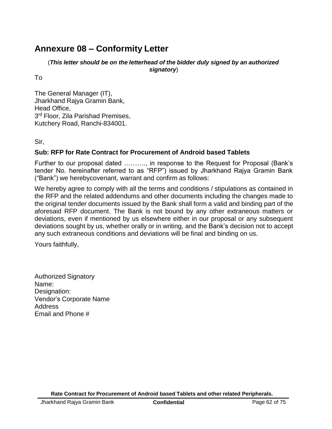## **Annexure 08 – Conformity Letter**

(*This letter should be on the letterhead of the bidder duly signed by an authorized signatory*)

To

The General Manager (IT), Jharkhand Rajya Gramin Bank, Head Office, 3<sup>rd</sup> Floor, Zila Parishad Premises, Kutchery Road, Ranchi-834001.

Sir,

### **Sub: RFP for Rate Contract for Procurement of Android based Tablets**

Further to our proposal dated ………., in response to the Request for Proposal (Bank's tender No. hereinafter referred to as "RFP") issued by Jharkhand Rajya Gramin Bank ("Bank") we herebycovenant, warrant and confirm as follows:

We hereby agree to comply with all the terms and conditions / stipulations as contained in the RFP and the related addendums and other documents including the changes made to the original tender documents issued by the Bank shall form a valid and binding part of the aforesaid RFP document. The Bank is not bound by any other extraneous matters or deviations, even if mentioned by us elsewhere either in our proposal or any subsequent deviations sought by us, whether orally or in writing, and the Bank's decision not to accept any such extraneous conditions and deviations will be final and binding on us.

Yours faithfully,

Authorized Signatory Name: Designation: Vendor's Corporate Name Address Email and Phone #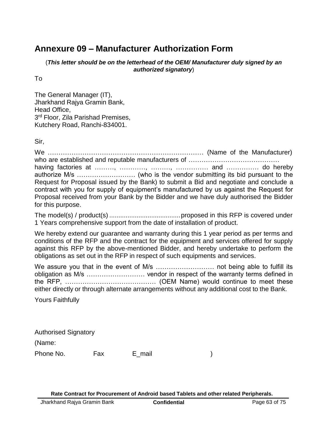## **Annexure 09 – Manufacturer Authorization Form**

(*This letter should be on the letterhead of the OEM/ Manufacturer duly signed by an authorized signatory*)

To

The General Manager (IT), Jharkhand Rajya Gramin Bank, Head Office, 3<sup>rd</sup> Floor, Zila Parishad Premises, Kutchery Road, Ranchi-834001.

Sir,

We ……………………………………………………………… (Name of the Manufacturer) who are established and reputable manufacturers of …………………………………… having factories at ………, …………, ………, …………… and …………… do hereby authorize M/s ……………………… (who is the vendor submitting its bid pursuant to the Request for Proposal issued by the Bank) to submit a Bid and negotiate and conclude a contract with you for supply of equipment's manufactured by us against the Request for Proposal received from your Bank by the Bidder and we have duly authorised the Bidder for this purpose.

The model(s) / product(s) .......................................proposed in this RFP is covered under 1 Years comprehensive support from the date of installation of product.

We hereby extend our guarantee and warranty during this 1 year period as per terms and conditions of the RFP and the contract for the equipment and services offered for supply against this RFP by the above-mentioned Bidder, and hereby undertake to perform the obligations as set out in the RFP in respect of such equipments and services.

We assure you that in the event of M/s ……………………… not being able to fulfill its obligation as M/s ……………………… vendor in respect of the warranty terms defined in the RFP, …………………………………… (OEM Name) would continue to meet these either directly or through alternate arrangements without any additional cost to the Bank.

Yours Faithfully

| <b>Authorised Signatory</b> |     |        |  |
|-----------------------------|-----|--------|--|
| (Name:                      |     |        |  |
| Phone No.                   | Fax | E mail |  |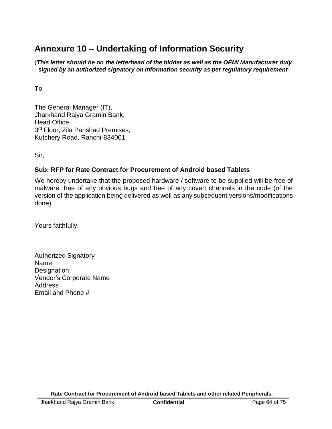## **Annexure 10 – Undertaking of Information Security**

(*This letter should be on the letterhead of the bidder as well as the OEM/ Manufacturer duly signed by an authorized signatory on Information security as per regulatory requirement*

To

The General Manager (IT), Jharkhand Rajya Gramin Bank, Head Office, 3<sup>rd</sup> Floor, Zila Parishad Premises, Kutchery Road, Ranchi-834001.

Sir,

## **Sub: RFP for Rate Contract for Procurement of Android based Tablets**

We hereby undertake that the proposed hardware / software to be supplied will be free of malware, free of any obvious bugs and free of any covert channels in the code (of the version of the application being delivered as well as any subsequent versions/modifications done)

Yours faithfully,

| <b>Authorized Signatory</b> |  |
|-----------------------------|--|
| Name:                       |  |
| Designation:                |  |
| Vendor's Corporate Name     |  |
| Address                     |  |
| Email and Phone #           |  |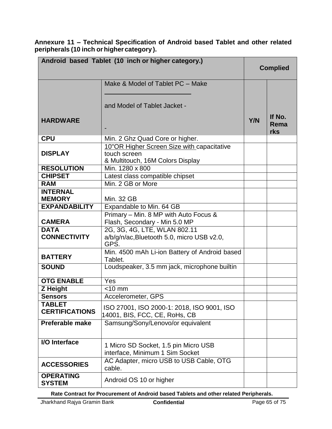**Annexure 11 – Technical Specification of Android based Tablet and other related peripherals (10 inch orhigher category ).**

|                                        | Android based Tablet (10 inch or higher category.)                                             | <b>Complied</b> |                       |
|----------------------------------------|------------------------------------------------------------------------------------------------|-----------------|-----------------------|
| <b>HARDWARE</b>                        | Make & Model of Tablet PC - Make<br>and Model of Tablet Jacket -                               | <b>Y/N</b>      | If No.<br>Rema<br>rks |
| <b>CPU</b>                             | Min. 2 Ghz Quad Core or higher.                                                                |                 |                       |
| <b>DISPLAY</b>                         | 10"OR Higher Screen Size with capacitative<br>touch screen<br>& Multitouch, 16M Colors Display |                 |                       |
| <b>RESOLUTION</b>                      | Min. 1280 x 800                                                                                |                 |                       |
| <b>CHIPSET</b>                         | Latest class compatible chipset                                                                |                 |                       |
| <b>RAM</b>                             | Min. 2 GB or More                                                                              |                 |                       |
| <b>INTERNAL</b><br><b>MEMORY</b>       | <b>Min. 32 GB</b>                                                                              |                 |                       |
| <b>EXPANDABILITY</b>                   | Expandable to Min. 64 GB                                                                       |                 |                       |
| <b>CAMERA</b>                          | Primary - Min. 8 MP with Auto Focus &<br>Flash, Secondary - Min 5.0 MP                         |                 |                       |
| <b>DATA</b><br><b>CONNECTIVITY</b>     | 2G, 3G, 4G, LTE, WLAN 802.11<br>a/b/g/n/ac, Bluetooth 5.0, micro USB v2.0,<br>GPS.             |                 |                       |
| <b>BATTERY</b>                         | Min. 4500 mAh Li-ion Battery of Android based<br>Tablet.                                       |                 |                       |
| <b>SOUND</b>                           | Loudspeaker, 3.5 mm jack, microphone builtin                                                   |                 |                       |
| <b>OTG ENABLE</b>                      | Yes                                                                                            |                 |                       |
| Z Height                               | $<$ 10 mm                                                                                      |                 |                       |
| <b>Sensors</b>                         | Accelerometer, GPS                                                                             |                 |                       |
| <b>TABLET</b><br><b>CERTIFICATIONS</b> | ISO 27001, ISO 2000-1: 2018, ISO 9001, ISO<br>14001, BIS, FCC, CE, RoHs, CB                    |                 |                       |
| <b>Preferable make</b>                 | Samsung/Sony/Lenovo/or equivalent                                                              |                 |                       |
| <b>I/O</b> Interface                   | 1 Micro SD Socket, 1.5 pin Micro USB<br>interface, Minimum 1 Sim Socket                        |                 |                       |
| <b>ACCESSORIES</b>                     | AC Adapter, micro USB to USB Cable, OTG<br>cable.                                              |                 |                       |
| <b>OPERATING</b><br><b>SYSTEM</b>      | Android OS 10 or higher                                                                        |                 |                       |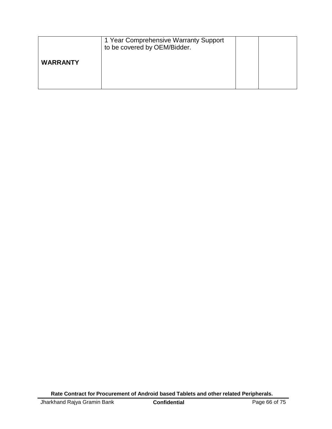|                 | 1 Year Comprehensive Warranty Support<br>to be covered by OEM/Bidder. |  |
|-----------------|-----------------------------------------------------------------------|--|
| <b>WARRANTY</b> |                                                                       |  |
|                 |                                                                       |  |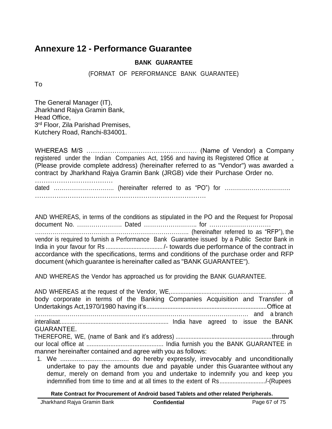## **Annexure 12 - Performance Guarantee**

#### **BANK GUARANTEE**

(FORMAT OF PERFORMANCE BANK GUARANTEE)

To

The General Manager (IT), Jharkhand Rajya Gramin Bank, Head Office, 3<sup>rd</sup> Floor, Zila Parishad Premises, Kutchery Road, Ranchi-834001.

WHEREAS M/S …………………………………………… (Name of Vendor) a Company registered under the Indian Companies Act, 1956 and having its Registered Office at , (Please provide complete address) (hereinafter referred to as "Vendor") was awarded a contract by Jharkhand Rajya Gramin Bank (JRGB) vide their Purchase Order no.

……………………………… dated …………………………. (hereinafter referred to as "PO") for ……………………………. …………………………………………………………………….

AND WHEREAS, in terms of the conditions as stipulated in the PO and the Request for Proposal document No. …………………. Dated …………………….. for ………………………… ……………………………………………………………………. (hereinafter referred to as "RFP"), the vendor is required to furnish a Performance Bank Guarantee issued by a Public Sector Bank in India in your favour for Rs ................................... /- towards due performance of the contract in accordance with the specifications, terms and conditions of the purchase order and RFP document (which guarantee is hereinafter called as "BANK GUARANTEE").

AND WHEREAS the Vendor has approached us for providing the BANK GUARANTEE.

AND WHEREAS at the request of the Vendor, WE,....................................................................... ,a body corporate in terms of the Banking Companies Acquisition and Transfer of Undertakings Act,1970/1980 having it's..........................................................................Office at …………………….…………………………………………………………………….…… and a branch interaliaat................................................................... India have agreed to issue the BANK GUARANTEE. THEREFORE, WE, (name of Bank and it's address) ...........................................................through our local office at ............................................. India furnish you the BANK GUARANTEE in manner hereinafter contained and agree with you as follows:

1. We ...................................... do hereby expressly, irrevocably and unconditionally undertake to pay the amounts due and payable under this Guarantee without any demur, merely on demand from you and undertake to indemnify you and keep you indemnified from time to time and at all times to the extent of Rs............................/-(Rupees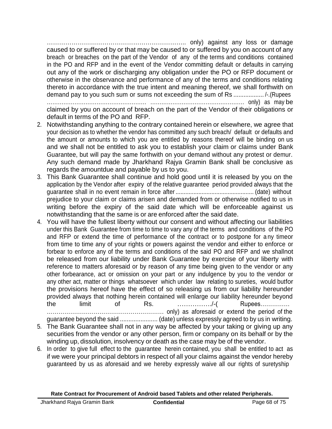………………………………………………………….. only) against any loss or damage caused to or suffered by or that may be caused to or suffered by you on account of any breach or breaches on the part of the Vendor of any of the terms and conditions contained in the PO and RFP and in the event of the Vendor committing default or defaults in carrying out any of the work or discharging any obligation under the PO or RFP document or otherwise in the observance and performance of any of the terms and conditions relating thereto in accordance with the true intent and meaning thereof, we shall forthwith on demand pay to you such sum or sums not exceeding the sum of Rs .................. /-.(Rupees ……………………………………………… …………………………………………… only) as may be

claimed by you on account of breach on the part of the Vendor of their obligations or default in terms of the PO and RFP.

- 2. Notwithstanding anything to the contrary contained herein or elsewhere, we agree that your decision as to whether the vendor has committed any such breach/ default or defaults and the amount or amounts to which you are entitled by reasons thereof will be binding on us and we shall not be entitled to ask you to establish your claim or claims under Bank Guarantee, but will pay the same forthwith on your demand without any protest or demur. Any such demand made by Jharkhand Rajya Gramin Bank shall be conclusive as regards the amountdue and payable by us to you.
- 3. This Bank Guarantee shall continue and hold good until it is released by you on the application by the Vendor after expiry of the relative guarantee period provided always that the guarantee shall in no event remain in force after ................................................ (date) without prejudice to your claim or claims arisen and demanded from or otherwise notified to us in writing before the expiry of the said date which will be enforceable against us notwithstanding that the same is or are enforced after the said date.
- 4. You will have the fullest liberty without our consent and without affecting our liabilities under this Bank Guarantee from time to time to vary any of the terms and conditions of the PO and RFP or extend the time of performance of the contract or to postpone for a ny timeor from time to time any of your rights or powers against the vendor and either to enforce or forbear to enforce any of the terms and conditions of the said PO and RFP and we shallnot be released from our liability under Bank Guarantee by exercise of your liberty with reference to matters aforesaid or by reason of any time being given to the vendor or any other forbearance, act or omission on your part or any indulgence by you to the vendor or any other act, matter or things whatsoever which under law relating to sureties, would butfor the provisions hereof have the effect of so releasing us from our liability hereunder provided always that nothing herein contained will enlarge our liability hereunder beyond the limit of Rs. ……………./-( Rupees…………… …………………………………………………… only) as aforesaid or extend the period of the

guarantee beyond the said ...................... (date) unless expressly agreed to by us in writing.

- 5. The Bank Guarantee shall not in any way be affected by your taking or giving up any securities from the vendor or any other person, firm or company on its behalf or by the winding up, dissolution, insolvency or death as the case may be of the vendor.
- 6. In order to give full effect to the guarantee herein contained, you shall be entitled to act as if we were your principal debtors in respect of all your claims against the vendor hereby guaranteed by us as aforesaid and we hereby expressly waive all our rights of suretyship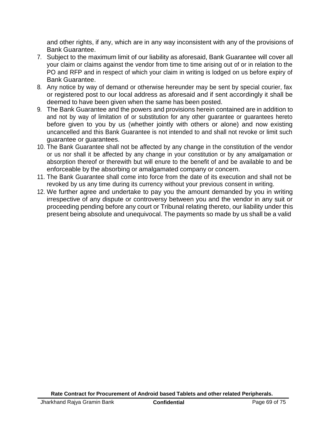and other rights, if any, which are in any way inconsistent with any of the provisions of Bank Guarantee.

- 7. Subject to the maximum limit of our liability as aforesaid, Bank Guarantee will cover all your claim or claims against the vendor from time to time arising out of or in relation to the PO and RFP and in respect of which your claim in writing is lodged on us before expiry of Bank Guarantee.
- 8. Any notice by way of demand or otherwise hereunder may be sent by special courier, fax or registered post to our local address as aforesaid and if sent accordingly it shall be deemed to have been given when the same has been posted.
- 9. The Bank Guarantee and the powers and provisions herein contained are in addition to and not by way of limitation of or substitution for any other guarantee or guarantees hereto before given to you by us (whether jointly with others or alone) and now existing uncancelled and this Bank Guarantee is not intended to and shall not revoke or limit such guarantee or guarantees.
- 10. The Bank Guarantee shall not be affected by any change in the constitution of the vendor or us nor shall it be affected by any change in your constitution or by any amalgamation or absorption thereof or therewith but will enure to the benefit of and be available to and be enforceable by the absorbing or amalgamated company or concern.
- 11. The Bank Guarantee shall come into force from the date of its execution and shall not be revoked by us any time during its currency without your previous consent in writing.
- 12. We further agree and undertake to pay you the amount demanded by you in writing irrespective of any dispute or controversy between you and the vendor in any suit or proceeding pending before any court or Tribunal relating thereto, our liability under this present being absolute and unequivocal. The payments so made by us shall be a valid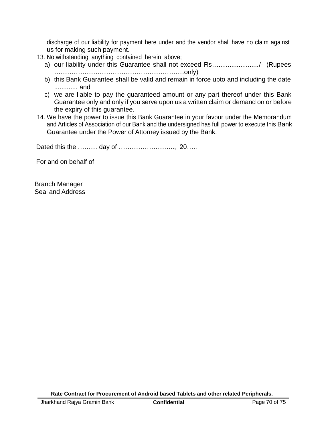discharge of our liability for payment here under and the vendor shall have no claim against us for making such payment.

- 13. Notwithstanding anything contained herein above;
	- a) our liability under this Guarantee shall not exceed Rs .........................../- (Rupees ……………………………………………………only)
	- b) this Bank Guarantee shall be valid and remain in force upto and including the date ............. and
	- c) we are liable to pay the guaranteed amount or any part thereof under this Bank Guarantee only and only if you serve upon us a written claim or demand on or before the expiry of this guarantee.
- 14. We have the power to issue this Bank Guarantee in your favour under the Memorandum and Articles of Association of our Bank and the undersigned has full power to execute this Bank Guarantee under the Power of Attorney issued by the Bank.

Dated this the ……… day of …………………….., 20…..

For and on behalf of

Branch Manager Seal and Address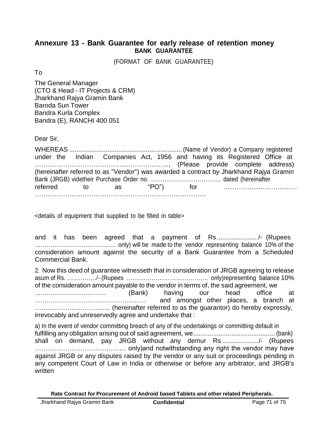## **Annexure 13 - Bank Guarantee for early release of retention money BANK GUARANTEE**

(FORMAT OF BANK GUARANTEE)

To

The General Manager (CTO & Head - IT Projects & CRM) Jharkhand Rajya Gramin Bank Baroda Sun Tower Bandra Kurla Complex Bandra (E), RANCHI 400 051

Dear Sir,

|  | under the Indian Companies Act, 1956 and having its Registered Office at               |  |  |  |
|--|----------------------------------------------------------------------------------------|--|--|--|
|  |                                                                                        |  |  |  |
|  | (hereinafter referred to as "Vendor") was awarded a contract by Jharkhand Rajya Gramin |  |  |  |
|  |                                                                                        |  |  |  |
|  | referred to as "PO")                                                                   |  |  |  |
|  |                                                                                        |  |  |  |

<details of equipment that supplied to be filled in table>

and it has been agreed that a payment of Rs...................... /- (Rupees …………………………………… only) will be made to the vendor representing balance 10% of the consideration amount against the security of a Bank Guarantee from a Scheduled Commercial Bank.

2. Now this deed of guarantee witnesseth that in consideration of JRGB agreeing to release asum of Rs. ……………/- (Rupees …………………………………… only)representing balance 10% of the consideration amount payable to the vendor in terms of, the said agreement, we ………………………………. (Bank) having our head office at ………………………………………………… and amongst other places, a branch at …………………………….. (hereinafter referred to as the guarantor) do hereby expressly, irrevocably and unreservedly agree and undertake that :

a) In the event of vendor committing breach of any of the undertakings or committing default in fulfilling any obligation arising out of said agreement, we............................................. (bank) shall on demand, pay JRGB without any demur Rs ..................../- (Rupees …………………………………… only)and notwithstanding any right the vendor may have against JRGB or any disputes raised by the vendor or any suit or proceedings pending in any competent Court of Law in India or otherwise or before any arbitrator, and JRGB's written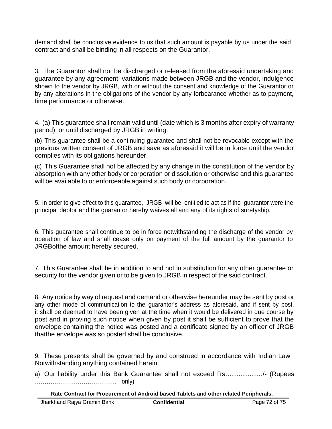demand shall be conclusive evidence to us that such amount is payable by us under the said contract and shall be binding in all respects on the Guarantor.

3. The Guarantor shall not be discharged or released from the aforesaid undertaking and guarantee by any agreement, variations made between JRGB and the vendor, indulgence shown to the vendor by JRGB, with or without the consent and knowledge of the Guarantor or by any alterations in the obligations of the vendor by any forbearance whether as to payment, time performance or otherwise.

4. (a) This guarantee shall remain valid until (date which is 3 months after expiry of warranty period), or until discharged by JRGB in writing.

(b) This guarantee shall be a continuing guarantee and shall not be revocable except with the previous written consent of JRGB and save as aforesaid it will be in force until the vendor complies with its obligations hereunder.

(c) This Guarantee shall not be affected by any change in the constitution of the vendor by absorption with any other body or corporation or dissolution or otherwise and this guarantee will be available to or enforceable against such body or corporation.

5. In order to give effect to this guarantee, JRGB will be entitled to act as if the guarantor were the principal debtor and the guarantor hereby waives all and any of its rights of suretyship.

6. This guarantee shall continue to be in force notwithstanding the discharge of the vendor by operation of law and shall cease only on payment of the full amount by the guarantor to JRGBofthe amount hereby secured.

7. This Guarantee shall be in addition to and not in substitution for any other guarantee or security for the vendor given or to be given to JRGB in respect of the said contract.

8. Any notice by way of request and demand or otherwise hereunder may be sent by post or any other mode of communication to the guarantor's address as aforesaid, and if sent by post, it shall be deemed to have been given at the time when it would be delivered in due course by post and in proving such notice when given by post it shall be sufficient to prove that the envelope containing the notice was posted and a certificate signed by an officer of JRGB thatthe envelope was so posted shall be conclusive.

9. These presents shall be governed by and construed in accordance with Indian Law. Notwithstanding anything contained herein:

a) Our liability under this Bank Guarantee shall not exceed Rs..................../- (Rupees …………………………………… only)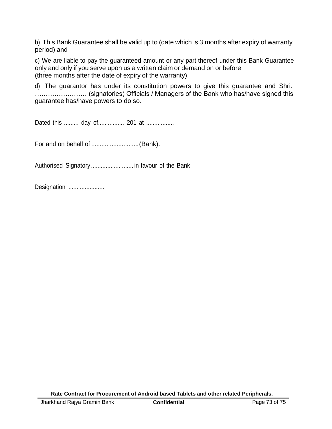b) This Bank Guarantee shall be valid up to (date which is 3 months after expiry of warranty period) and

c) We are liable to pay the guaranteed amount or any part thereof under this Bank Guarantee only and only if you serve upon us a written claim or demand on or before \_\_\_\_\_\_ (three months after the date of expiry of the warranty).

d) The guarantor has under its constitution powers to give this guarantee and Shri. …………………… (signatories) Officials / Managers of the Bank who has/have signed this guarantee has/have powers to do so.

Dated this ......... day of................. 201 at ..................

For and on behalf of ............................(Bank).

Authorised Signatory .......................... in favour of the Bank

Designation .......................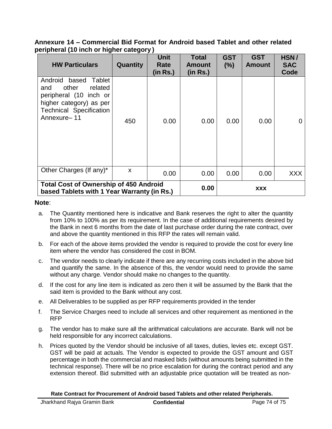## **Annexure 14 – Commercial Bid Format for Android based Tablet and other related peripheral (10 inch or higher category )**

| <b>HW Particulars</b>                                                                                                                                       | Quantity | <b>Unit</b><br>Rate<br>(in Rs.) | <b>Total</b><br><b>Amount</b><br>(in Rs.) | <b>GST</b><br>(%) | <b>GST</b><br><b>Amount</b> | HSN/<br><b>SAC</b><br>Code |
|-------------------------------------------------------------------------------------------------------------------------------------------------------------|----------|---------------------------------|-------------------------------------------|-------------------|-----------------------------|----------------------------|
| Android<br>based<br>Tablet<br>related<br>other<br>and<br>peripheral (10 inch or<br>higher category) as per<br><b>Technical Specification</b><br>Annexure-11 | 450      | 0.00                            | 0.00                                      | 0.00              | 0.00                        | 0                          |
| Other Charges (If any)*                                                                                                                                     | X        | 0.00                            | 0.00                                      | 0.00              | 0.00                        | <b>XXX</b>                 |
| <b>Total Cost of Ownership of 450 Android</b><br>based Tablets with 1 Year Warranty (in Rs.)                                                                |          |                                 | 0.00                                      | XXX               |                             |                            |

## **Note**:

- a. The Quantity mentioned here is indicative and Bank reserves the right to alter the quantity from 10% to 100% as per its requirement. In the case of additional requirements desired by the Bank in next 6 months from the date of last purchase order during the rate contract, over and above the quantity mentioned in this RFP the rates will remain valid.
- b. For each of the above items provided the vendor is required to provide the cost for every line item where the vendor has considered the cost in BOM.
- c. The vendor needs to clearly indicate if there are any recurring costs included in the above bid and quantify the same. In the absence of this, the vendor would need to provide the same without any charge. Vendor should make no changes to the quantity.
- d. If the cost for any line item is indicated as zero then it will be assumed by the Bank that the said item is provided to the Bank without any cost.
- e. All Deliverables to be supplied as per RFP requirements provided in the tender
- f. The Service Charges need to include all services and other requirement as mentioned in the RFP
- g. The vendor has to make sure all the arithmatical calculations are accurate. Bank will not be held responsible for any incorrect calculations.
- h. Prices quoted by the Vendor should be inclusive of all taxes, duties, levies etc. except GST. GST will be paid at actuals. The Vendor is expected to provide the GST amount and GST percentage in both the commercial and masked bids (without amounts being submitted in the technical response). There will be no price escalation for during the contract period and any extension thereof. Bid submitted with an adjustable price quotation will be treated as non-